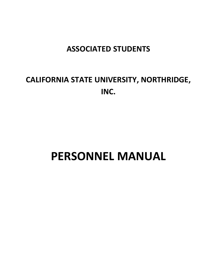# **ASSOCIATED STUDENTS**

# **CALIFORNIA STATE UNIVERSITY, NORTHRIDGE, INC.**

# **PERSONNEL MANUAL**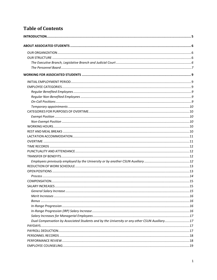# **Table of Contents**

| Dual Compensation by Associated Students and by the University or any other CSUN Auxiliary17 |  |
|----------------------------------------------------------------------------------------------|--|
|                                                                                              |  |
|                                                                                              |  |
|                                                                                              |  |
|                                                                                              |  |
|                                                                                              |  |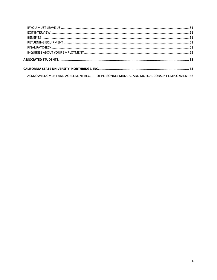| ACKNOWLEDGMENT AND AGREEMENT RECEIPT OF PERSONNEL MANUAL AND MUTUAL CONSENT EMPLOYMENT 53 |  |
|-------------------------------------------------------------------------------------------|--|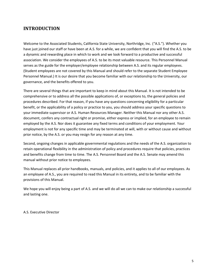# <span id="page-5-0"></span>**INTRODUCTION**

Welcome to the Associated Students, California State University, Northridge, Inc. ("A.S."). Whether you have just joined our staff or have been at A.S. for a while, we are confident that you will find the A.S. to be a dynamic and rewarding place in which to work and we look forward to a productive and successful association. We consider the employees of A.S. to be its most valuable resource. This Personnel Manual serves as the guide for the employer/employee relationship between A.S. and its regular employees. (Student employees are not covered by this Manual and should refer to the separate Student Employee Personnel Manual.) It is our desire that you become familiar with our relationship to the University, our governance, and the benefits offered to you.

There are several things that are important to keep in mind about this Manual. It is not intended to be comprehensive or to address all the possible applications of, or exceptions to, the general policies and procedures described. For that reason, if you have any questions concerning eligibility for a particular benefit, or the applicability of a policy or practice to you, you should address your specific questions to your immediate supervisor or A.S. Human Resources Manager. Neither this Manual nor any other A.S. document, confers any contractual right or promise, either express or implied, for an employee to remain employed by the A.S. Nor does it guarantee any fixed terms and conditions of your employment. Your employment is not for any specific time and may be terminated at will, with or without cause and without prior notice, by the A.S. or you may resign for any reason at any time.

Second, ongoing changes in applicable governmental regulations and the needs of the A.S. organization to retain operational flexibility in the administration of policy and procedures require that policies, practices and benefits change from time to time. The A.S. Personnel Board and the A.S. Senate may amend this manual without prior notice to employees.

This Manual replaces all prior handbooks, manuals, and policies, and it applies to all of our employees. As an employee of A.S., you are required to read this Manual in its entirety, and to be familiar with the provisions of this Manual.

We hope you will enjoy being a part of A.S. and we will do all we can to make our relationship a successful and lasting one.

A.S. Executive Director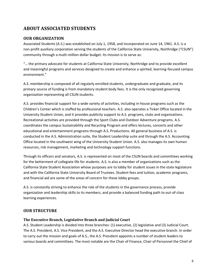# <span id="page-6-0"></span>**ABOUT ASSOCIATED STUDENTS**

# <span id="page-6-1"></span>**OUR ORGANIZATION**

Associated Students (A.S.) was established on July 1, 1958, and incorporated on June 14, 1961. A.S. is a non-profit auxiliary corporation serving the students of the California State University, Northridge ("CSUN") community through a multi-million dollar budget. Its mission is to serve as:

"… the primary advocate for students at California State University, Northridge and to provide excellent and meaningful programs and services designed to create and enhance a spirited, learning-focused campus environment."

A.S. membership is composed of all regularly enrolled students, undergraduate and graduate, and its primary source of funding is from mandatory student body fees. It is the only recognized governing organization representing all CSUN students.

A.S. provides financial support for a wide variety of activities, including in-house programs such as the Children's Center which is staffed by professional teachers. A.S. also operates a Ticket Office located in the University Student Union, and it provides publicity support to A.S. programs, clubs and organizations. Recreational activities are provided through the Sport Clubs and Outdoor Adventure programs. A.S. coordinates the campus Sustainability and Recycling Program and offers lectures, concerts and other educational and entertainment programs through A.S. Productions. All general business of A.S. is conducted in the A.S. Administration suite, the Student Leadership suite and through the A.S. Accounting Office located in the southwest wing of the University Student Union. A.S. also manages its own human resources, risk management, marketing and technology support functions.

Through its officers and senators, A.S. is represented on most of the CSUN boards and committees working for the betterment of collegiate life for students. A.S. is also a member of organizations such as the California State Student Association whose purposes are to lobby for student issues in the state legislature and with the California State University Board of Trustees. Student fees and tuition, academic programs, and financial aid are some of the areas of concern for these lobby groups.

A.S. is constantly striving to enhance the role of the students in the governance process, provide organization and leadership skills to its members, and provide a balanced funding path to out-of-class learning experiences.

# <span id="page-6-2"></span>**OUR STRUCTURE**

#### <span id="page-6-3"></span>**The Executive Branch, Legislative Branch and Judicial Court**

A.S. Student Leadership is divided into three branches: (1) executive, (2) legislative and (3) Judicial Court. The A.S. President, A.S. Vice President, and the A.S. Executive Director head the executive branch. In order to carry out the mission and goals of A.S., the A.S. President appoints a number of student leaders to various boards and committees. The most notable are the Chair of Finance, Chair of Personnel the Chief of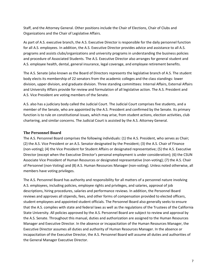Staff, and the Attorney General. Other positions include the Chair of Elections, Chair of Clubs and Organizations and the Chair of Legislative Affairs.

As part of A.S. executive branch, the A.S. Executive Director is responsible for the daily personnel function for all A.S. employees. In addition, the A.S. Executive Director provides advice and assistance to all A.S. programs and assists clubs/organizations and university programs in understanding the business policies and procedure of Associated Students. The A.S. Executive Director also arranges for general student and A.S. employee health, dental, general insurance, legal coverage, and employee retirement benefits.

The A.S. Senate (also known as the Board of Directors represents the legislative branch of A.S. The student body elects its membership of 22 senators from the academic colleges and the class standings: lower division, upper division, and graduate division. Three standing committees: Internal Affairs, External Affairs and University Affairs provide for review and formulation of all legislative action. The A.S. President and A.S. Vice President are voting members of the Senate.

A.S. also has a judiciary body called the Judicial Court. The Judicial Court comprises five students, and a member of the Senate, who are appointed by the A.S. President and confirmed by the Senate. Its primary function is to rule on constitutional issues, which may arise, from student actions, election activities, club chartering, and similar concerns. The Judicial Court is assisted by the A.S. Attorney General.

## <span id="page-7-0"></span>**The Personnel Board**

The A.S. Personnel Board comprises the following individuals: (1) the A.S. President, who serves as Chair; (2) the A.S. Vice President or an A.S. Senator designated by the President; (3) the A.S. Chair of Finance (non-voting); (4) the Vice President for Student Affairs or designated representative; (5) the A.S. Executive Director (except when the Executive Director's personal employment is under consideration); (6) the CSUN Associate Vice President of Human Resources or designated representative (non-voting); (7) the A.S. Chair of Personnel (non-Voting) and (8) A.S. Human Resources Manager (non-voting). Unless noted otherwise, all members have voting privileges.

The A.S. Personnel Board has authority and responsibility for all matters of a personnel nature involving A.S. employees, including policies, employee rights and privileges, and salaries, approval of job descriptions, hiring procedures, salaries and performance reviews. In addition, the Personnel Board reviews and approves all stipends, fees, and other forms of compensation provided to elected officers, student employees and appointed student officials. The Personnel Board also generally seeks to ensure that the A.S. complies with state and federal laws as well as the regulations of the Trustees of the California State University. All policies approved by the A.S. Personnel Board are subject to review and approval by the A.S. Senate. Throughout this manual, duties and authorization are assigned to the Human Resources Manager and Executive Director. In the absence or incapacitation of the Human Resources Manager, the Executive Director assumes all duties and authority of Human Resources Manager. In the absence or incapacitation of the Executive Director, the A.S. Personnel Board will assume all duties and authorities of the General Manager Executive Director.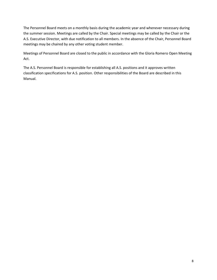The Personnel Board meets on a monthly basis during the academic year and whenever necessary during the summer session. Meetings are called by the Chair. Special meetings may be called by the Chair or the A.S. Executive Director, with due notification to all members. In the absence of the Chair, Personnel Board meetings may be chaired by any other voting student member.

Meetings of Personnel Board are closed to the public in accordance with the Gloria Romero Open Meeting Act.

The A.S. Personnel Board is responsible for establishing all A.S. positions and it approves written classification specifications for A.S. position. Other responsibilities of the Board are described in this Manual.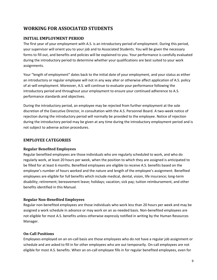# <span id="page-9-0"></span>**WORKING FOR ASSOCIATED STUDENTS**

# <span id="page-9-1"></span>**INITIAL EMPLOYMENT PERIOD**

The first year of your employment with A.S. is an introductory period of employment. During this period, your supervisor will orient you to your job and to Associated Students. You will be given the necessary forms to fill out, and benefits and policies will be explained to you. Your performance is carefully evaluated during the introductory period to determine whether your qualifications are best suited to your work assignments.

Your "length of employment" dates back to the initial date of your employment, and your status as either an introductory or regular employee will not in any way alter or otherwise affect application of A.S. policy of at-will employment. Moreover, A.S. will continue to evaluate your performance following the introductory period and throughout your employment to ensure your continued adherence to A.S. performance standards and objectives.

During the introductory period, an employee may be rejected from further employment at the sole discretion of the Executive Director, in consultation with the A.S. Personnel Board. A two-week notice of rejection during the introductory period will normally be provided to the employee. Notice of rejection during the introductory period may be given at any time during the introductory employment period and is not subject to adverse action procedures.

# <span id="page-9-2"></span>**EMPLOYEE CATEGORIES**

#### <span id="page-9-3"></span>**Regular Benefited Employees**

Regular benefited employees are those individuals who are regularly scheduled to work, and who do regularly work, at least 20 hours per week, when the position to which they are assigned is anticipated to be filled for at least 6 months. Benefited employees are eligible to receive A.S. benefits based on the employee's number of hours worked and the nature and length of the employee's assignment. Benefited employees are eligible for full benefits which include medical, dental, vision, life insurance; long-term disability; retirement; bereavement leave; holidays; vacation; sick pay; tuition reimbursement, and other benefits identified in this Manual.

#### <span id="page-9-4"></span>**Regular Non-Benefited Employees**

Regular non-benefited employees are those individuals who work less than 20 hours per week and may be assigned a work schedule in advance or may work on an as-needed basis. Non-benefited employees are not eligible for most A.S. benefits unless otherwise expressly notified in writing by the Human Resources Manager.

#### <span id="page-9-5"></span>**On-Call Positions**

Employees employed on an on-call basis are those employees who do not have a regular job assignment or schedule and are asked to fill in for other employees who are out temporarily. On-call employees are not eligible for most A.S. benefits. When an on-call employee fills in for regular benefited employees, even for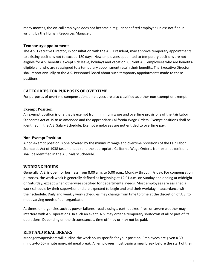many months, the on-call employee does not become a regular benefited employee unless notified in writing by the Human Resources Manager.

#### <span id="page-10-0"></span>**Temporary appointments**

The A.S. Executive Director, in consultation with the A.S. President, may approve temporary appointments to existing positions not to exceed 180 days. New employees appointed to temporary positions are not eligible for A.S. benefits, except sick leave, holidays and vacation. Current A.S. employees who are benefitseligible and who are reassigned to a temporary appointment retain their benefits. The Executive Director shall report annually to the A.S. Personnel Board about such temporary appointments made to these positions.

# <span id="page-10-1"></span>**CATEGORIES FOR PURPOSES OF OVERTIME**

For purposes of overtime compensation, employees are also classified as either non-exempt or exempt.

## <span id="page-10-2"></span>**Exempt Position**

An exempt position is one that is exempt from minimum wage and overtime provisions of the Fair Labor Standards Act of 1938 as amended and the appropriate California Wage Orders. Exempt positions shall be identified in the A.S. Salary Schedule. Exempt employees are not entitled to overtime pay.

## <span id="page-10-3"></span>**Non-Exempt Position**

A non-exempt position is one covered by the minimum wage and overtime provisions of the Fair Labor Standards Act of 1938 (as amended) and the appropriate California Wage Orders. Non-exempt positions shall be identified in the A.S. Salary Schedule.

# <span id="page-10-4"></span>**WORKING HOURS**

Generally, A.S. is open for business from 8:00 a.m. to 5:00 p.m., Monday through Friday. For compensation purposes, the work week is generally defined as beginning at 12:01 a.m. on Sunday and ending at midnight on Saturday, except when otherwise specified for departmental needs. Most employees are assigned a work schedule by their supervisor and are expected to begin and end their workday in accordance with their schedule. Daily and weekly work schedules may change from time to time at the discretion of A.S. to meet varying needs of our organization.

At times, emergencies such as power failures, road closings, earthquakes, fires, or severe weather may interfere with A.S. operations. In such an event, A.S. may order a temporary shutdown of all or part of its operations. Depending on the circumstances, time off may or may not be paid.

# <span id="page-10-5"></span>**REST AND MEAL BREAKS**

Manager/Supervisors will outline the work hours specific for your position. Employees are given a 30 minute-to-60-minute non-paid meal break. All employees must begin a meal break before the start of their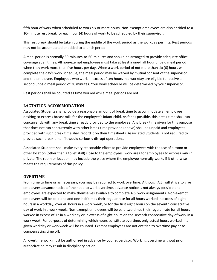fifth hour of work when scheduled to work six or more hours. Non-exempt employees are also entitled to a 10-minute rest break for each four (4) hours of work to be scheduled by their supervisor.

This rest break should be taken during the middle of the work period as the workday permits. Rest periods may not be accumulated or added to a lunch period.

A meal period is normally 30-minutes-to-60-minutes and should be arranged to provide adequate office coverage at all times. All non-exempt employees must take at least a one-half hour unpaid meal period when they work more than five hours per day. When a work period of not more than six (6) hours will complete the day's work schedule, the meal period may be waived by mutual consent of the supervisor and the employee. Employees who work in excess of ten hours in a workday are eligible to receive a second unpaid meal period of 30 minutes. Your work schedule will be determined by your supervisor.

Rest periods shall be counted as time worked while meal periods are not.

# <span id="page-11-0"></span>**LACTATION ACCOMMODATION**

Associated Students shall provide a reasonable amount of break time to accommodate an employee desiring to express breast milk for the employee's infant child. As far as possible, this break time shall run concurrently with any break time already provided to the employee. Any break time given for this purpose that does not run concurrently with other break time provided (above) shall be unpaid and employees provided with such break time shall record it on their timesheets. Associated Students is not required to provide such break time if it would seriously disrupt operations.

Associated Students shall make every reasonable effort to provide employees with the use of a room or other location (other than a toilet stall) close to the employees' work area for employees to express milk in private. The room or location may include the place where the employee normally works if it otherwise meets the requirements of this policy.

# <span id="page-11-1"></span>**OVERTIME**

From time to time or as necessary, you may be required to work overtime. Although A.S. will strive to give employees advance notice of the need to work overtime, advance notice is not always possible and employees are expected to make themselves available to complete A.S. work assignments. Non-exempt employees will be paid one and one-half times their regular rate for all hours worked in excess of eight hours in a workday, over 40 hours in a work week, or for the first eight hours on the seventh consecutive day of work in a work week. Non-exempt employees will be paid two times their regular rate for all hours worked in excess of 12 in a workday or in excess of eight hours on the seventh consecutive day of work in a work week. For purposes of determining which hours constitute overtime, only actual hours worked in a given workday or workweek will be counted. Exempt employees are not entitled to overtime pay or to compensating time off.

All overtime work must be authorized in advance by your supervisor. Working overtime without prior authorization may result in disciplinary action.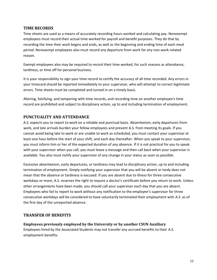# <span id="page-12-0"></span>**TIME RECORDS**

Time sheets are used as a means of accurately recording hours worked and calculating pay. Nonexempt employees must record their actual time worked for payroll and benefit purposes. They do that by recording the time their work begins and ends, as well as the beginning and ending time of each meal period. Nonexempt employees also must record any departure from work for any non-work-related reason.

Exempt employees also may be required to record their time worked, for such reasons as attendance, tardiness, or time off for personal business.

It is your responsibility to sign your time record to certify the accuracy of all time recorded. Any errors in your timecard should be reported immediately to your supervisor, who will attempt to correct legitimate errors. Time sheets must be completed and turned in on a timely basis.

Altering, falsifying, and tampering with time records, and recording time on another employee's time record are prohibited and subject to disciplinary action, up to and including termination of employment.

# <span id="page-12-1"></span>**PUNCTUALITY AND ATTENDANCE**

A.S. expects you to report to work on a reliable and punctual basis. Absenteeism, early departures from work, and late arrivals burden your fellow employees and prevent A.S. from meeting its goals. If you cannot avoid being late to work or are unable to work as scheduled, you must contact your supervisor at least one hour before the start of your shift, and each day thereafter. When you speak to your supervisor, you must inform him or her of the expected duration of any absence. If it is not practical for you to speak with your supervisor when you call, you must leave a message and then call back when your supervisor is available. You also must notify your supervisor of any change in your status as soon as possible.

Excessive absenteeism, early departures, or tardiness may lead to disciplinary action, up to and including termination of employment. Simply notifying your supervisor that you will be absent or tardy does not mean that the absence or tardiness is excused. If you are absent due to illness for three consecutive workdays or more, A.S. reserves the right to require a doctor's certificate before you return to work. Unless other arrangements have been made, you should call your supervisor each day that you are absent. Employees who fail to report to work without any notification to the employee's supervisor for three consecutive workdays will be considered to have voluntarily terminated their employment with A.S. as of the first day of the unreported absence.

# <span id="page-12-2"></span>**TRANSFER OF BENEFITS**

<span id="page-12-3"></span>**Employees previously employed by the University or by another CSUN Auxiliary**

Employees hired by the Associated Students may not transfer any accrued benefits to their A.S. employment benefits.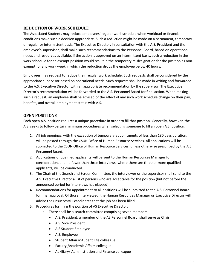# <span id="page-13-0"></span>**REDUCTION OF WORK SCHEDULE**

The Associated Students may reduce employees' regular work schedule when workload or financial conditions make such a decision appropriate. Such a reduction might be made on a permanent, temporary or regular or intermittent basis. The Executive Director, in consultation with the A.S. President and the employee's supervisor, shall make such recommendations to the Personnel Board, based on operational needs and resources available. If the action is approved on an intermittent basis, such a reduction in the work schedule for an exempt position would result in the temporary re-designation for the position as nonexempt for any work week in which the reduction drops the employee below 40 hours.

Employees may request to reduce their regular work schedule. Such requests shall be considered by the appropriate supervisor based on operational needs. Such requests shall be made in writing and forwarded to the A.S. Executive Director with an appropriate recommendation by the supervisor. The Executive Director's recommendation will be forwarded to the A.S. Personnel Board for final action. When making such a request, an employee shall be advised of the effect of any such work schedule change on their pay, benefits, and overall employment status with A.S.

# <span id="page-13-1"></span>**OPEN POSITIONS**

Each open A.S. position requires a unique procedure in order to fill that position. Generally, however, the A.S. seeks to follow certain minimum procedures when selecting someone to fill an open A.S. position:

- 1. All job openings, with the exception of temporary appointments of less than 180 days duration, will be posted through the CSUN Office of Human Resource Services. All applications will be submitted to the CSUN Office of Human Resource Services, unless otherwise prescribed by the A.S. Personnel Board.
- 2. Applications of qualified applicants will be sent to the Human Resources Manager for consideration, and no fewer than three interviews, where there are three or more qualified applicants, will be conducted.
- 3. The Chair of the Search and Screen Committee, the interviewer or the supervisor shall send to the A.S. Executive Director a list of persons who are acceptable for the position (but not before the announced period for interviews has elapsed).
- 4. Recommendations for appointment to all positions will be submitted to the A.S. Personnel Board for final approval. Of those interviewed, the Human Resources Manager or Executive Director will advise the unsuccessful candidates that the job has been filled.
- 5. Procedures for filing the position of AS Executive Director.
	- a. There shall be a search committee comprising seven members:
		- A.S. President, a member of the AS Personnel Board, shall serve as Chair
		- A.S. Vice President
		- A.S Student Employee
		- A.S. Employee
		- Student Affairs/Student Life colleague
		- Faculty /Academic Affairs colleague
		- Auxiliary/ Administration and Finance colleague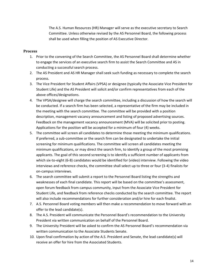The A.S. Human Resources (HR) Manager will serve as the executive secretary to Search Committee. Unless otherwise revised by the AS Personnel Board, the following process shall be used when filling the position of AS Executive Director.

#### <span id="page-14-0"></span>**Process**

- 1. Prior to the convening of the Search Committee, the AS Personnel Board shall determine whether to engage the services of an executive search firm to assist the Search Committee and AS in conducting a successful search process.
- 2. The AS President and AS HR Manager shall seek such funding as necessary to complete the search process.
- 3. The Vice President for Student Affairs (VPSA) or designee (typically the Associate Vice President for Student Life) and the AS President will solicit and/or confirm representatives from each of the above offices/designations.
- 4. The VPSA/designee will charge the search committee, including a discussion of how the search will be conducted. If a search firm has been selected, a representative of the firm may be included in the meeting with the search committee. The committee will be provided with a position description, management vacancy announcement and listing of proposed advertising sources. Feedback on the management vacancy announcement (MVA) will be solicited prior to posting. Applications for the position will be accepted for a minimum of four (4) weeks.
- 5. The committee will screen all candidates to determine those meeting the minimum qualifications. If preferred, a sub-committee or the search firm can be designated to undertake the initial screening for minimum qualifications. The committee will screen all candidates meeting the minimum qualifications, or may direct the search firm, to identify a group of the most promising applicants. The goal of this second screening is to identify a sufficient number of applicants from which six-to-eight (6-8) candidates would be identified for (video) interview. Following the video interviews and reference checks, the committee shall select up to three or four (3-4) finalists for on-campus interviews.
- 6. The search committee will submit a report to the Personnel Board listing the strengths and weaknesses of each final candidate. This report will be based on the committee's assessment, open forum feedback from campus community, input from the Associate Vice President for Student Life, and feedback from reference checks conducted by the search committee. The report will also include recommendations for further consideration and/or hire for each finalist.
- 7. A.S. Personnel Board voting members will then make a recommendation to move forward with an offer to the lead candidate(s).
- 8. The A.S. President will communicate the Personnel Board's recommendation to the University President via written communication on behalf of the Personnel Board.
- 9. The University President will be asked to confirm the AS Personnel Board's recommendation via written communication to the Associate Students Senate.
- 10. Upon final confirmation by action of the A.S. President and Senate, the lead candidate(s) will receive an offer for hire from the Associated Students.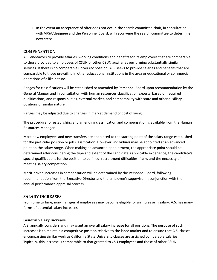11. In the event an acceptance of offer does not occur, the search committee chair, in consultation with VPSA/designee and the Personnel Board, will reconvene the search committee to determine next steps.

#### <span id="page-15-0"></span>**COMPENSATION**

A.S. endeavors to provide salaries, working conditions and benefits for its employees that are comparable to those provided to employees of CSUN or other CSUN auxiliaries performing substantially similar services. If there is no comparable university position, A.S. seeks to provide salaries and benefits that are comparable to those prevailing in other educational institutions in the area or educational or commercial operations of a like nature.

Ranges for classifications will be established or amended by Personnel Board upon recommendation by the General Manger and in consultation with human resources classification experts, based on required qualifications, and responsibilities, external market, and comparability with state and other auxiliary positions of similar nature.

Ranges may be adjusted due to changes in market demand or cost of living.

The procedure for establishing and amending classification and compensation is available from the Human Resources Manager.

Most new employees and new transfers are appointed to the starting point of the salary range established for the particular position or job classification. However, individuals may be appointed at an advanced point on the salary range. When making an advanced appointment, the appropriate point should be determined after considering the type and extent of the candidate's applicable experience, the candidate's special qualifications for the position to be filled, recruitment difficulties if any, and the necessity of meeting salary competition.

Merit-driven increases in compensation will be determined by the Personnel Board, following recommendation from the Executive Director and the employee's supervisor in conjunction with the annual performance appraisal process.

# <span id="page-15-1"></span>**SALARY INCREASES**

From time to time, non-managerial employees may become eligible for an increase in salary. A.S. has many forms of potential salary increases.

#### <span id="page-15-2"></span>**General Salary Increase**

A.S. annually considers and may grant an overall salary increase for all positions. The purpose of such increases is to maintain a competitive position relative to the labor market and to ensure that A.S. classes encompassing similar work as California State University classes are assigned comparable salaries. Typically, this increase is comparable to that granted to CSU employees and those of other CSUN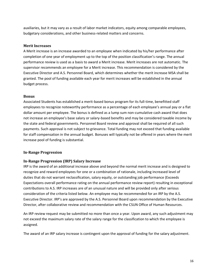auxiliaries, but it may vary as a result of labor market indicators, equity among comparable employees, budgetary considerations, and other business-related matters and concerns.

#### <span id="page-16-0"></span>**Merit Increases**

A Merit increase is an increase awarded to an employee when indicated by his/her performance after completion of one year of employment up to the top of the position classification's range. The annual performance review is used as a basis to award a Merit increase. Merit increases are not automatic. The supervisor recommends an employee for a Merit increase. This recommendation is considered by the Executive Director and A.S. Personnel Board, which determines whether the merit increase MSA shall be granted. The pool of funding available each year for merit increases will be established in the annual budget process.

#### <span id="page-16-1"></span>**Bonus**

Associated Students has established a merit-based bonus program for its full-time, benefitted staff employees to recognize noteworthy performance as a percentage of each employee's annual pay or a flat dollar amount per employee. The bonus is defined as a lump sum non-cumulative cash award that does not increase an employee's base salary or salary-based benefits and may be considered taxable income by the state and federal governments. Personnel Board review and approval shall be required of all such payments. Such approval is not subject to grievance. Total funding may not exceed that funding available for staff compensation in the annual budget. Bonuses will typically not be offered in years where the merit increase pool of funding is substantial.

# <span id="page-16-2"></span>**In-Range Progression**

#### <span id="page-16-3"></span>**In-Range Progression (IRP) Salary Increase**

IRP is the award of an additional increase above and beyond the normal merit increase and is designed to recognize and reward employees for one or a combination of rationale, including increased level of duties that do not warrant reclassification, salary equity, or outstanding job performance (Exceeds Expectations overall performance rating on the annual performance review report) resulting in exceptional contributions to A.S. IRP increases are of an unusual nature and will be provided only after serious consideration of the criteria listed below. An employee may be recommended for an IRP by the A.S. Executive Director. IRP's are approved by the A.S. Personnel Board upon recommendation by the Executive Director, after collaborative review and recommendation with the CSUN Office of Human Resources.

An IRP review request may be submitted no more than once a year. Upon award, any such adjustment may not exceed the maximum salary rate of the salary range for the classification to which the employee is assigned.

The award of an IRP salary increase is contingent upon the approval of funding for the salary adjustment.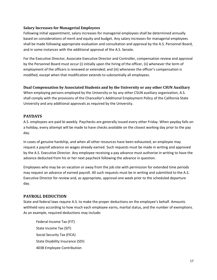#### <span id="page-17-0"></span>**Salary Increases for Managerial Employees**

Following initial appointment, salary increases for managerial employees shall be determined annually based on considerations of merit and equity and budget. Any salary increases for managerial employees shall be made following appropriate evaluation and consultation and approval by the A.S. Personnel Board, and in some instances with the additional approval of the A.S. Senate.

For the Executive Director, Associate Executive Director and Controller, compensation review and approval by the Personnel Board must occur (i) initially upon the hiring of the officer, (ii) whenever the term of employment of the officers is renewed or extended; and (iii) whenever the officer's compensation is modified, except when that modification extends to substantially all employees.

#### <span id="page-17-1"></span>**Dual Compensation by Associated Students and by the University or any other CSUN Auxiliary**

When employing persons employed by the University or by any other CSUN auxiliary organization, A.S. shall comply with the provisions of the Chancellor's Additional Employment Policy of the California State University and any additional approvals as required by the University.

#### <span id="page-17-2"></span>**PAYDAYS**

A.S. employees are paid bi-weekly. Paychecks are generally issued every other Friday. When payday falls on a holiday, every attempt will be made to have checks available on the closest working day prior to the pay day.

In cases of genuine hardship, and when all other resources have been exhausted, an employee may request a payroll advance on wages already earned. Such requests must be made in writing and approved by the A.S. Executive Director. Any employee receiving a pay advance must authorize in writing to have the advance deducted from his or her next paycheck following the advance in question.

Employees who may be on vacation or away from the job site with permission for extended time periods may request an advance of earned payroll. All such requests must be in writing and submitted to the A.S. Executive Director for review and, as appropriate, approval one week prior to the scheduled departure day.

#### <span id="page-17-3"></span>**PAYROLL DEDUCTION**

State and federal laws require A.S. to make the proper deductions on the employee's behalf. Amounts withheld vary according to how much each employee earns, marital status, and the number of exemptions. As an example, required deductions may include:

Federal Income Tax (FIT) State Income Tax (SIT) Social Security Tax (FICA) State Disability Insurance (SDI) 403B Employee Contribution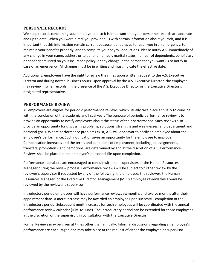#### <span id="page-18-0"></span>**PERSONNEL RECORDS**

We keep records concerning your employment, so it is important that your personnel records are accurate and up to date. When you were hired, you provided us with certain information about yourself, and it is important that this information remain current because it enables us to reach you in an emergency, to maintain your benefits properly, and to compute your payroll deductions. Please notify A.S. immediately of any change in your name, address or telephone number, marital status, number of dependents, beneficiary or dependents listed on your insurance policy, or any change in the person that you want us to notify in case of an emergency. All changes must be in writing and must indicate the effective date.

Additionally, employees have the right to review their files upon written request to the A.S. Executive Director and during normal business hours. Upon approval by the A.S. Executive Director, the employee may review his/her records in the presence of the A.S. Executive Director or the Executive Director's designated representative.

#### <span id="page-18-1"></span>**PERFORMANCE REVIEW**

All employees are eligible for periodic performance reviews, which usually take place annually to coincide with the conclusion of the academic and fiscal year. The purpose of periodic performance review is to provide an opportunity to notify employees about the status of their performance. Such reviews also provide an opportunity for discussing problems, solutions, strengths and weaknesses, and department and personal goals. Where performance problems exist, A.S. will endeavor to notify an employee about the employee's performance. Such notification gives an opportunity for the employee to improve. Compensation increases and the terms and conditions of employment, including job assignments, transfers, promotions, and demotions, are determined by and at the discretion of A.S. Performance Reviews shall be placed in the employee's personnel file upon completion.

Performance appraisers are encouraged to consult with their supervisors or the Human Resources Manager during the review process. Performance reviews will be subject to further review by the reviewer's supervisor if requested by any of the following: the employee; the reviewer; the Human Resources Manager, or the Executive Director. Management (MPP) employee reviews will always be reviewed by the reviewer's supervisor.

Introductory period employees will have performance reviews six months and twelve months after their appointment date. A merit increase may be awarded an employee upon successful completion of the introductory period. Subsequent merit increases for such employees will be coordinated with the annual performance review calendar (July–to-June). The Introductory period can be extended for those employees at the discretion of the supervisor, in consultation with the Executive Director.

Formal Reviews may be given at times other than annually. Informal discussions regarding an employee's performance are encouraged and may take place at the request of either the employee or supervisor.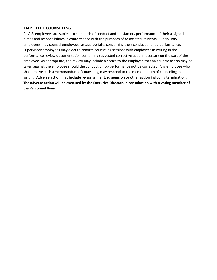## <span id="page-19-0"></span>**EMPLOYEE COUNSELING**

All A.S. employees are subject to standards of conduct and satisfactory performance of their assigned duties and responsibilities in conformance with the purposes of Associated Students. Supervisory employees may counsel employees, as appropriate, concerning their conduct and job performance. Supervisory employees may elect to confirm counseling sessions with employees in writing in the performance review documentation containing suggested corrective action necessary on the part of the employee. As appropriate, the review may include a notice to the employee that an adverse action may be taken against the employee should the conduct or job performance not be corrected. Any employee who shall receive such a memorandum of counseling may respond to the memorandum of counseling in writing. **Adverse action may include re-assignment, suspension or other action including termination. The adverse action will be executed by the Executive Director, in consultation with a voting member of the Personnel Board**.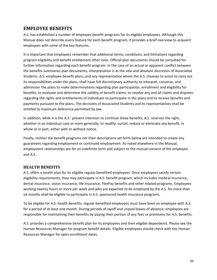# <span id="page-20-0"></span>**EMPLOYEE BENEFITS**

A.S. has established a number of employee benefit programs for its eligible employees. Although this Manual does not describe every feature for each benefit program, it provides a brief overview to acquaint employees with some of the key features.

It is important that employees remember that additional terms, conditions, and limitations regarding program eligibility and benefit entitlement often exist. Official plan documents should be consulted for further information regarding each benefit program. In the case of an actual or apparent conflict between the benefits summaries plan documents, interpretation is at the sole and absolute discretion of Associated Students. A.S. employee benefit plans, and any representative whom the A.S. chooses to assist to carry out its responsibilities under the plans, shall have full discretionary authority to interpret, construe, and administer the plans to make determinations regarding plan participation, enrollment and eligibility for benefits, to evaluate and determine the validity of benefit claims, to resolve any and all claims and disputes regarding the rights and entitlements of individuals to participate in the plans and to receive benefits and payments pursuant to the plans. The decisions of Associated Students and its representatives shall be entitled to maximum deference permitted by law.

In addition, while it is the A.S.' present intention to continue these benefits, A.S. reserves the right, whether in an individual case or more generally, to modify, curtail, reduce or eliminate any benefit, in whole or in part, either with or without notice.

Finally, neither the benefit programs nor their descriptions set forth below are intended to create any guarantees regarding employment or continued employment. As noted elsewhere in the Manual, employment relationships are for an indefinite term and subject to the mutual consent of the employee and A.S.

# <span id="page-20-1"></span>**HEALTH BENEFITS**

A.S. offers a health plan for its eligible regular benefited employees. Once employees satisfy certain eligibility requirements, they may participate in A.S. benefit program, which includes medical insurance, dental insurance, vision insurance, life insurance, FlexPay benefits and other related programs. Employees working twenty hours or more per week and who are expected to be employed by the A.S. for more than six months shall be eligible to participate in A.S. sponsored health insurance programs.

To be eligible for A.S. health benefits, regular benefited employees must have been an employee with A.S. for a period of at least one month. During periods of layoff and unpaid leaves of absence, employees are responsible for maintaining their benefits by paying their portion of any fees or premiums for A.S. benefits.

A.S. provides a comprehensive benefit plan for its employees and their eligible dependents. Please see the Human Resources Manager for program benefit details. Eligible employees should check with the Human Resources Manager for open enrollment dates.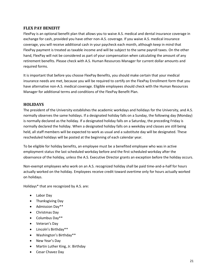# <span id="page-21-0"></span>**FLEX PAY BENEFIT**

FlexPay is an optional benefit plan that allows you to waive A.S. medical and dental insurance coverage in exchange for cash, provided you have other non-A.S. coverage. If you waive A.S. medical insurance coverage, you will receive additional cash in your paycheck each month, although keep in mind that FlexPay payment is treated as taxable income and will be subject to the same payroll taxes. On the other hand, FlexPay will not be considered as part of your compensation when calculating the amount of any retirement benefits. Please check with A.S. Human Resources Manager for current dollar amounts and required forms.

It is important that before you choose FlexPay Benefits, you should make certain that your medical insurance needs are met, because you will be required to certify on the FlexPay Enrollment form that you have alternative non-A.S. medical coverage. Eligible employees should check with the Human Resources Manager for additional terms and conditions of the FlexPay Benefit Plan.

# <span id="page-21-1"></span>**HOLIDAYS**

The president of the University establishes the academic workdays and holidays for the University, and A.S. normally observes the same holidays. If a designated holiday falls on a Sunday, the following day (Monday) is normally declared as the holiday. If a designated holiday falls on a Saturday, the preceding Friday is normally declared the holiday. When a designated holiday falls on a weekday and classes are still being held, all staff members will be expected to work as usual and a substitute day will be designated. These rescheduled holidays will be posted at the beginning of each calendar year.

To be eligible for holiday benefits, an employee must be a benefited employee who was in active employment status the last scheduled workday before and the first scheduled workday after the observance of the holiday, unless the A.S. Executive Director grants an exception before the holiday occurs.

Non-exempt employees who work on an A.S. recognized holiday shall be paid time-and-a-half for hours actually worked on the holiday. Employees receive credit toward overtime only for hours actually worked on holidays.

Holidays\* that are recognized by A.S. are:

- Labor Day
- Thanksgiving Day
- Admission Day\*\*
- Christmas Day
- Columbus Day\*\*
- Veteran's Day
- Lincoln's Birthday\*\*
- Washington's Birthday\*\*
- New Year's Day
- Martin Luther King, Jr. Birthday
- Cesar Chavez Day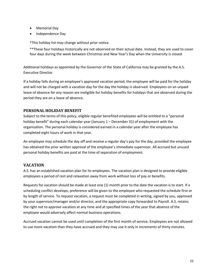- Memorial Day
- Independence Day

\*This holiday list may change without prior notice.

\*\*These four holidays historically are not observed on their actual date. Instead, they are used to cover four days during the week between Christmas and New Year's Day when the University is closed.

Additional holidays as appointed by the Governor of the State of California may be granted by the A.S. Executive Director.

If a holiday falls during an employee's approved vacation period, the employee will be paid for the holiday and will not be charged with a vacation day for the day the holiday is observed. Employees on an unpaid leave of absence for any reason are ineligible for holiday benefits for holidays that are observed during the period they are on a leave of absence.

# <span id="page-22-0"></span>**PERSONAL HOLIDAY BENEFIT**

Subject to the terms of this policy, eligible regular benefited employees will be entitled to a "personal holiday benefit" during each calendar year (January 1 – December 31) of employment with the organization. The personal holiday is considered earned in a calendar year after the employee has completed eight hours of work in that year.

An employee may schedule the day off and receive a regular day's pay for the day, provided the employee has obtained the prior written approval of the employee's immediate supervisor. All accrued but unused personal holiday benefits are paid at the time of separation of employment.

# <span id="page-22-1"></span>**VACATION**

A.S. has an established vacation plan for its employees. The vacation plan is designed to provide eligible employees a period of rest and relaxation away from work without loss of pay or benefits.

Requests for vacation should be made at least one (1) month prior to the date the vacation is to start. If a scheduling conflict develops, preference will be given to the employee who requested the schedule first or by length of service. To request vacation, a request must be completed in writing, signed by you, approved by your supervisor/manager and/or director, and the appropriate copy forwarded to Payroll. A.S. retains the right not to approve vacation at any time and at specified times of the year that absence of the employee would adversely affect normal business operations.

Accrued vacation cannot be used until completion of the first month of service. Employees are not allowed to use more vacation than they have accrued and they may use it only in increments of thirty minutes.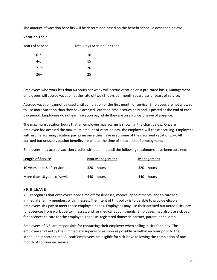The amount of vacation benefits will be determined based on the benefit schedule described below:

#### **Vacation Table**

| Years of Service | <b>Total Days Accrued Per Year</b> |
|------------------|------------------------------------|
| $0 - 3$          | 10                                 |
| $4-6$            | 15                                 |
| $7 - 25$         | 20                                 |
| $26+$            | 25                                 |
|                  |                                    |

Employees who work less than 40 hours per week will accrue vacation on a pro-rated basis. Management employees will accrue vacation at the rate of two (2) days per month regardless of years of service.

Accrued vacation cannot be used until completion of the first month of service. Employees are not allowed to use more vacation than they have accrued. Vacation time accrues daily and is posted at the end of each pay period. Employees do not earn vacation pay while they are on an unpaid leave of absence.

The maximum vacation hours that an employee may accrue is shown in the chart below. Once an employee has accrued the maximum amount of vacation pay, the employee will cease accruing. Employees will resume accruing vacation pay again once they have used some of their accrued vacation pay. All accrued but unused vacation benefits are paid at the time of separation of employment.

Employees may accrue vacation credits without limit until the following maximums have been attained:

| <b>Length of Service</b>      | Non-Management | <b>Management</b> |
|-------------------------------|----------------|-------------------|
| 10 years or less of service   | $320 - hours$  | $320 - hours$     |
| More than 10 years of service | $440 - hours$  | 440 – hours       |

# <span id="page-23-0"></span>**SICK LEAVE**

A.S. recognizes that employees need time off for illnesses, medical appointments, and to care for immediate family members with illnesses. The intent of this policy is to be able to provide eligible employees sick pay to meet those employee needs. Employees may use their accrued but unused sick pay for absences from work due to illnesses, and for medical appointments. Employees may also use sick pay for absences to care for the employee's spouse, registered domestic partner, parent, or children.

Employees of A.S. are responsible for contacting their employer when calling in sick for a day. The employee shall notify their immediate supervisor as soon as possible or within an hour prior to the scheduled reported time. All staff employees are eligible for sick leave following the completion of one month of continuous service.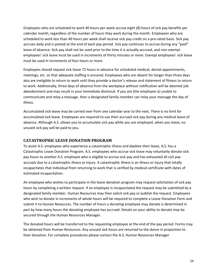Employees who are scheduled to work 40 hours per week accrue eight (8) hours of sick pay benefits per calendar month, regardless of the number of hours they work during the month. Employees who are scheduled to work less than 40 hours per week shall receive sick pay credit on a pro-rated basis. Sick pay accrues daily and is posted at the end of each pay period. Sick pay continues to accrue during any "paid" leave of absence. Sick pay shall not be used prior to the time it is actually accrued, and non-exempt employees' sick leave must be used in increments of thirty minutes or more. Exempt employees' sick leave must be used in increments of four hours or more.

Employees should request sick leave 72 hours in advance for scheduled medical, dental appointments, meetings, etc. so that adequate staffing is ensured. Employees who are absent for longer than three days also are ineligible to return to work until they provide a doctor's release and statement of fitness to return to work. Additionally, three days of absence from the workplace without notification will be deemed job abandonment and may result in your immediate dismissal. If you are (the employee is) unable to communicate and relay a message, then a designated family member can relay your message the day of illness.

Accumulated sick leave may be carried over from one calendar year to the next. There is no limit for accumulated sick leave. Employees are required to use their accrued sick pay during any medical leave of absence. Although A.S. allows you to accumulate sick pay while you are employed, when you leave, no unused sick pay will be paid to you.

# <span id="page-24-0"></span>**CATASTROPHIC LEAVE DONATION PROGRAM**

To assist A.S. employees who experience a catastrophic illness and deplete their leave, A.S. has a Catastrophic Leave Donation Program. A.S. employees who accrue sick leave may voluntarily donate sick pay hours to another A.S. employee who is eligible to accrue sick pay and has exhausted all sick pay accruals due to a catastrophic illness or injury. A catastrophic illness is an illness or injury that totally incapacitates that individual from returning to work that is verified by medical certificate with dates of estimated incapacitation.

An employee who wishes to participate in the leave donation program may request solicitation of sick pay hours by completing a written request. If an employee is incapacitated the request may be submitted by a designated family member. Human Resources may then solicit sick pay or publish the request. Employees who wish to donate in increments of whole hours will be required to complete a Leave Donation Form and submit it to Human Resources. The number of hours a donating employee may donate is determined in part by how many hours the donating employee has accrued. Details on your ability to donate may be secured through the Human Resources Manager.

The donated hours will be transferred to the requesting employee at the end of the pay period. Forms may be obtained from Human Resources. Any unused sick hours are returned to the donor in proportion to their donation. For complete procedures please contact the A.S. Human Resources Manager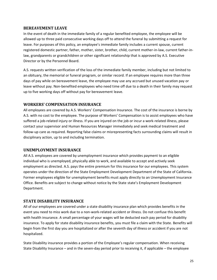#### <span id="page-25-0"></span>**BEREAVEMENT LEAVE**

In the event of death in the immediate family of a regular benefited employee, the employee will be allowed up to three paid consecutive working days off to attend the funeral by submitting a request for leave. For purposes of this policy, an employee's immediate family includes a current spouse, current registered domestic partner, father, mother, sister, brother, child, current mother-in-law, current father-inlaw, grandparents or grandchildren or other significant relationship that is approved by A.S. Executive Director or by the Personnel Board.

A.S. requests written verification of the loss of the immediate family member, including but not limited to an obituary, the memorial or funeral program, or similar record. If an employee requires more than three days of pay while on bereavement leave, the employee may use any accrued but unused vacation pay or leave without pay. Non-benefited employees who need time off due to a death in their family may request up to five working days off without pay for bereavement leave.

#### <span id="page-25-1"></span>**WORKERS' COMPENSATION INSURANCE**

All employees are covered by A.S. Workers' Compensation Insurance. The cost of the insurance is borne by A.S. with no cost to the employee. The purpose of Workers' Compensation is to assist employees who have suffered a job-related injury or illness. If you are injured on the job or incur a work-related illness, please contact your supervisor and Human Resources Manager immediately and seek medical treatment and follow-up care as required. Reporting false claims or misrepresenting facts surrounding claims will result in disciplinary action, up to and including termination.

#### <span id="page-25-2"></span>**UNEMPLOYMENT INSURANCE**

All A.S. employees are covered by unemployment insurance which provides payment to an eligible individual who is unemployed, physically able to work, and available to accept and actively seek employment as directed. A.S. pays the entire premium for this insurance for our employees. This system operates under the direction of the State Employment Development Department of the State of California. Former employees eligible for unemployment benefits must apply directly to an Unemployment Insurance Office. Benefits are subject to change without notice by the State state's Employment Development Department.

#### <span id="page-25-3"></span>**STATE DISABILITY INSURANCE**

All of our employees are covered under a state disability insurance plan which provides benefits in the event you need to miss work due to a non-work-related accident or illness. Do not confuse this benefit with health insurance. A small percentage of your wages will be deducted each pay period for disability insurance. To apply for state disability insurance benefits, you must file a claim with the State. Benefits will begin from the first day you are hospitalized or after the seventh day of illness or accident if you are not hospitalized.

State Disability insurance provides a portion of the Employee's regular compensation. When receiving State Disability Insurance – and in the seven-day period prior to receiving it, if applicable – the employee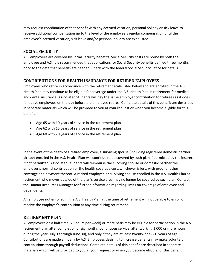may request coordination of that benefit with any accrued vacation, personal holiday or sick leave to receive additional compensation up to the level of the employee's regular compensation until the employee's accrued vacation, sick leave and/or personal holiday are exhausted.

# <span id="page-26-0"></span>**SOCIAL SECURITY**

A.S. employees are covered by Social Security benefits. Social Security costs are borne by both the employee and A.S. It is recommended that applications for Social Security benefits be filed three months prior to the date that benefits are needed. Check with the federal Social Security Office for details.

# <span id="page-26-1"></span>**CONTRIBUTIONS FOR HEALTH INSURANCE FOR RETIRED EMPLOYEES**

Employees who retire in accordance with the retirement scale listed below and are enrolled in the A.S. Health Plan may continue to be eligible for coverage under the A.S. Health Plan in retirement for medical and dental insurance. Associated Students will pay the same employer contribution for retirees as it does for active employees on the day before the employee retires. Complete details of this benefit are described in separate materials which will be provided to you at your request or when you become eligible for this benefit.

- Age 65 with 10 years of service in the retirement plan
- Age 62 with 15 years of service in the retirement plan
- Age 60 with 20 years of service in the retirement plan

In the event of the death of a retired employee, a surviving spouse (including registered domestic partner) already enrolled in the A.S. Health Plan will continue to be covered by such plan if permitted by the insurer. If not permitted, Associated Students will reimburse the surviving spouse or domestic partner the employer's normal contribution or the health coverage cost, whichever is less, with proof of other coverage and payment thereof. A retired employee or surviving spouse enrolled in the A.S. Health Plan at retirement who moves outside of the plan's service area may no longer be covered by such plan. Contact the Human Resources Manager for further information regarding limits on coverage of employee and dependents.

An employee not enrolled in the A.S. Health Plan at the time of retirement will not be able to enroll or receive the employer's contribution at any time during retirement.

# <span id="page-26-2"></span>**RETIREMENT PLAN**

All employees on a half-time (20 hours per week) or more basis may be eligible for participation in the A.S. retirement plan after completion of six months' continuous service, after working 1,000 or more hours during the year (July 1 through June 30), and only if they are at least twenty-one (21) years of age. Contributions are made annually by A.S. Employees desiring to increase benefits may make voluntary contributions through payroll deductions. Complete details of this benefit are described in separate materials which will be provided to you at your request or when you become eligible for this benefit.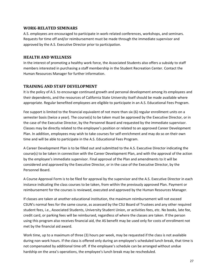#### <span id="page-27-0"></span>**WORK-RELATED SEMINARS**

A.S. employees are encouraged to participate in work-related conferences, workshops, and seminars. Requests for time off and/or reimbursement must be made through the immediate supervisor and approved by the A.S. Executive Director prior to participation.

# <span id="page-27-1"></span>**HEALTH AND WELLNESS**

In the interest of promoting a healthy work force, the Associated Students also offers a subsidy to staff members interested in purchasing a staff membership in the Student Recreation Center. Contact the Human Resources Manager for further information.

# <span id="page-27-2"></span>**TRAINING AND STAFF DEVELOPMENT**

It is the policy of A.S. to encourage continued growth and personal development among its employees and their dependents, and the resources of California State University itself should be made available where appropriate. Regular benefited employees are eligible to participate in an A.S. Educational Fees Program.

Fee support is limited to the financial equivalent of not more than six (6) regular enrollment units on a semester basis (twice a year). The course(s) to be taken must be approved by the Executive Director, or in the case of the Executive Director, by the Personnel Board and requested by the immediate supervisor. Classes may be directly related to the employee's position or related to an approved Career Development Plan. In addition, employees may wish to take courses for self-enrichment and may do so on their own time and will be able to participate in the A.S. Educational Fees Program.

A Career Development Plan is to be filled out and submitted to the A.S. Executive Director indicating the course(s) to be taken in connection with the Career Development Plan, and with the approval of the action by the employee's immediate supervisor. Final approval of the Plan and amendments to it will be considered and approved by the Executive Director, or in the case of the Executive Director, by the Personnel Board.

A Course Approval Form is to be filed for approval by the supervisor and the A.S. Executive Director in each instance indicating the class courses to be taken, from within the previously approved Plan. Payment or reimbursement for the courses is reviewed, executed and approved by the Human Resources Manager.

If classes are taken at another educational institution, the maximum reimbursement will not exceed CSUN's normal fees for the same course, as assessed by the CSU Board of Trustees and any other required student fees, i.e., Associated Students, University Student Union, or activities fees, etc. No books, late fee, credit card, or parking fees will be reimbursed, regardless of where the classes are taken. If the person using this program also receives financial aid, the AS benefit may be used only for costs of enrollment not met by the financial aid award.

Work time, up to a maximum of three (3) hours per week, may be requested if the class is not available during non-work hours. If the class is offered only during an employee's scheduled lunch break, that time is not compensated by additional time off. If the employee's schedule can be arranged without undue hardship on the area's operations, the employee's lunch break may be rescheduled.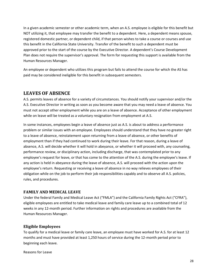In a given academic semester or other academic term, when an A.S. employee is eligible for this benefit but NOT utilizing it, that employee may transfer the benefit to a dependent. Here, a dependent means spouse, registered domestic partner, or dependent child, if that person wishes to take a course or courses and use this benefit in the California State University. Transfer of the benefit to such a dependent must be approved prior to the start of the course by the Executive Director. A dependent's Course Development Plan does not require the supervisor's approval. The form for requesting this support is available from the Human Resources Manager.

An employee or dependent who utilizes this program but fails to attend the course for which the AS has paid may be considered ineligible for this benefit in subsequent semesters.

# <span id="page-28-0"></span>**LEAVES OF ABSENCE**

A.S. permits leaves of absence for a variety of circumstances. You should notify your supervisor and/or the A.S. Executive Director in writing as soon as you become aware that you may need a leave of absence. You must not accept other employment while you are on a leave of absence. Acceptance of other employment while on leave will be treated as a voluntary resignation from employment at A.S.

In some instances, employees begin a leave of absence just as A.S. is about to address a performance problem or similar issues with an employee. Employees should understand that they have no greater right to a leave of absence, reinstatement upon returning from a leave of absence, or other benefits of employment than if they had continued to work during their leave. For that reason, during a leave of absence, A.S. will decide whether it will hold in abeyance, or whether it will proceed with, any counseling, performance review, or disciplinary action, including discharge, that was contemplated prior to any employee's request for leave, or that has come to the attention of the A.S. during the employee's leave. If any action is held in abeyance during the leave of absence, A.S. will proceed with the action upon the employee's return. Requesting or receiving a leave of absence in no way relieves employees of their obligation while on the job to perform their job responsibilities capably and to observe all A.S. policies, rules, and procedures.

# <span id="page-28-1"></span>**FAMILY AND MEDICAL LEAVE**

Under the federal Family and Medical Leave Act ("FMLA") and the California Family Rights Act ("CFRA"), eligible employees are entitled to take medical leave and family care leave up to a combined total of 12 weeks in any 12-month period. Further information on rights and procedures are available from the Human Resources Manager.

# <span id="page-28-2"></span>**Eligible Employees**

To qualify for a medical leave or family care leave, an employee must have worked for A.S. for at least 12 months and must have provided at least 1,250 hours of service during the 12-month period prior to beginning each leave.

Reasons for Leave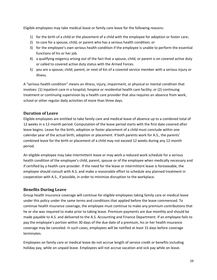Eligible employees may take medical leave or family care leave for the following reasons:

- 1) for the birth of a child or the placement of a child with the employee for adoption or foster care;
- 2) to care for a spouse, child, or parent who has a serious health condition; or
- 3) for the employee's own serious health condition if the employee is unable to perform the essential functions of his or her job.
- 4) a qualifying exigency arising out of the fact that a spouse, child, or parent is on covered active duty or called to covered active duty status with the Armed Forces.
- 5) you are a spouse; child; parent, or next of kin of a covered service member with a serious injury or illness.

A "serious health condition" means an illness, injury, impairment, or physical or mental condition that involves: (1) inpatient care in a hospital, hospice or residential health care facility; or (2) continuing treatment or continuing supervision by a health care provider that also requires an absence from work, school or other regular daily activities of more than three days.

# <span id="page-29-0"></span>**Duration of Leave**

Eligible employees are entitled to take family care and medical leave of absence up to a combined total of 12 weeks in a 12-month period. Computation of the leave period starts with the first date covered after leave begins. Leave for the birth, adoption or foster placement of a child must conclude within one calendar year of the actual birth, adoption or placement. If both parents work for A.S., the parents' combined leave for the birth or placement of a child may not exceed 12 weeks during any 12-month period.

An eligible employee may take intermittent leave or may work a reduced work schedule for a serious health condition of the employee's child, parent, spouse or of the employee when medically necessary and if certified by a health care provider. If the need for the leave or intermittent leave is foreseeable, the employee should consult with A.S. and make a reasonable effort to schedule any planned treatment in cooperation with A.S., if possible, in order to minimize disruption to the workplace.

# <span id="page-29-1"></span>**Benefits During Leave**

Group health insurance coverage will continue for eligible employees taking family care or medical leave under this policy under the same terms and conditions that applied before the leave commenced. To continue health insurance coverage, the employee must continue to make any premium contributions that he or she was required to make prior to taking leave. Premium payments are due monthly and should be made payable to A.S. and delivered to the A.S. Accounting and Finance Department. If an employee fails to pay the employee's portion within 30 days of the due date of a premium, his or her health insurance coverage may be canceled. In such cases, employees will be notified at least 15 days before coverage terminates.

Employees on family care or medical leave do not accrue length of service credit or benefits including holiday pay, while on unpaid leave. Employees will not accrue vacation and sick pay while on leave.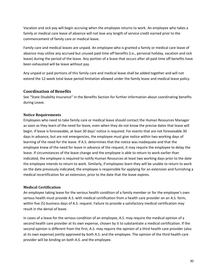Vacation and sick pay will begin accruing when the employee returns to work. An employee who takes a family or medical care leave of absence will not lose any length of service credit earned prior to the commencement of family care or medical leave.

Family care and medical leaves are unpaid. An employee who is granted a family or medical care leave of absence may utilize any accrued but unused paid time off benefits (i.e., personal holiday, vacation and sick leave) during the period of the leave. Any portion of a leave that occurs after all paid time off benefits have been exhausted will be leave without pay.

Any unpaid or paid portions of this family care and medical leave shall be added together and will not extend the 12-week total leave period limitation allowed under the family leave and medical leave policy.

# <span id="page-30-0"></span>**Coordination of Benefits**

See "State Disability Insurance" in the Benefits Section for further information about coordinating benefits during Leave.

# <span id="page-30-1"></span>**Notice Requirements**

Employees who need to take family care or medical leave should contact the Human Resources Manager as soon as they learn of the need for leave, even when they do not know the precise dates that leave will begin. If leave is foreseeable, at least 30 days' notice is required. For events that are not foreseeable 30 days in advance, but are not emergencies, the employee must give notice within two working days of learning of the need for the leave. If A.S. determines that the notice was inadequate and that the employee knew of the need for leave in advance of the request, it may require the employee to delay the leave. If circumstances of the leave change and the employee is able to return to work earlier than indicated, the employee is required to notify Human Resources at least two working days prior to the date the employee intends to return to work. Similarly, if employees learn they will be unable to return to work on the date previously indicated, the employee is responsible for applying for an extension and furnishing a medical recertification for an extension, prior to the date that the leave expires.

# <span id="page-30-2"></span>**Medical Certification**

An employee taking leave for the serious health condition of a family member or for the employee's own serious health must provide A.S. with medical certification from a health care provider on an A.S. form, within five (5) business days of A.S. request. Failure to provide a satisfactory medical certification may result in the denial of leave.

In cases of a leave for the serious condition of an employee, A.S. may require the medical opinion of a second health care provider at its own expense, chosen by it to substantiate a medical certification. If the second opinion is different from the first, A.S. may require the opinion of a third health care provider (also at its own expense) jointly approved by both A.S. and the employee. The opinion of the third health care provider will be binding on both A.S. and the employee.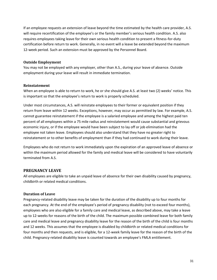If an employee requests an extension of leave beyond the time estimated by the health care provider, A.S. will require recertification of the employee's or the family member's serious health condition. A.S. also requires employees taking leave for their own serious health condition to present a fitness-for-duty certification before return to work. Generally, in no event will a leave be extended beyond the maximum 12-week period. Such an extension must be approved by the Personnel Board.

#### <span id="page-31-0"></span>**Outside Employment**

You may not be employed with any employer, other than A.S., during your leave of absence. Outside employment during your leave will result in immediate termination.

#### <span id="page-31-1"></span>**Reinstatement**

When an employee is able to return to work, he or she should give A.S. at least two (2) weeks' notice. This is important so that the employee's return to work is properly scheduled.

Under most circumstances, A.S. will reinstate employees to their former or equivalent position if they return from leave within 12 weeks. Exceptions, however, may occur as permitted by law. For example, A.S. cannot guarantee reinstatement if the employee is a salaried employee and among the highest paid ten percent of all employees within a 75 mile radius and reinstatement would cause substantial and grievous economic injury, or if the employee would have been subject to lay off or job elimination had the employee not taken leave. Employees should also understand that they have no greater right to reinstatement or to other benefits of employment than if they had continued to work during their leave.

Employees who do not return to work immediately upon the expiration of an approved leave of absence or within the maximum period allowed for the family and medical leave will be considered to have voluntarily terminated from A.S.

#### <span id="page-31-2"></span>**PREGNANCY LEAVE**

All employees are eligible to take an unpaid leave of absence for their own disability caused by pregnancy, childbirth or related medical conditions.

#### <span id="page-31-3"></span>**Duration of Leave**

Pregnancy-related disability leave may be taken for the duration of the disability up to four months for each pregnancy. At the end of the employee's period of pregnancy disability (not to exceed four months), employees who are also eligible for a family care and medical leave, as described above, may take a leave up to 12-weeks for reasons of the birth of the child. The maximum possible combined leave for both family care and medical leave and pregnancy disability leave for the reason of the birth of the child is four months and 12 weeks. This assumes that the employee is disabled by childbirth or related medical conditions for four months and then requests, and is eligible, for a 12-week family leave for the reason of the birth of the child. Pregnancy-related disability leave is counted towards an employee's FMLA entitlement.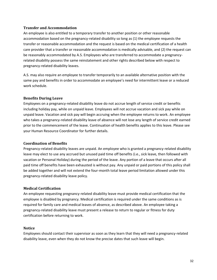#### <span id="page-32-0"></span>**Transfer and Accommodation**

An employee is also entitled to a temporary transfer to another position or other reasonable accommodation based on the pregnancy-related disability so long as (1) the employee requests the transfer or reasonable accommodation and the request is based on the medical certification of a health care provider that a transfer or reasonable accommodation is medically advisable, and (2) the request can be reasonably accommodated by A.S. Employees who are transferred to accommodate a pregnancyrelated disability possess the same reinstatement and other rights described below with respect to pregnancy-related disability leaves.

A.S. may also require an employee to transfer temporarily to an available alternative position with the same pay and benefits in order to accommodate an employee's need for intermittent leave or a reduced work schedule.

#### <span id="page-32-1"></span>**Benefits During Leave**

Employees on a pregnancy-related disability leave do not accrue length of service credit or benefits including holiday pay, while on unpaid leave. Employees will not accrue vacation and sick pay while on unpaid leave. Vacation and sick pay will begin accruing when the employee returns to work. An employee who takes a pregnancy-related disability leave of absence will not lose any length of service credit earned prior to the commencement of the leave. Continuation of health benefits applies to this leave. Please see your Human Resource Coordinator for further details.

#### <span id="page-32-2"></span>**Coordination of Benefits**

Pregnancy-related disability leaves are unpaid. An employee who is granted a pregnancy-related disability leave may elect to use any accrued but unused paid time off benefits (i.e., sick leave, then followed with vacation or Personal Holiday) during the period of the leave. Any portion of a leave that occurs after all paid time off benefits have been exhausted is without pay. Any unpaid or paid portions of this policy shall be added together and will not extend the four-month total leave period limitation allowed under this pregnancy-related disability leave policy.

#### <span id="page-32-3"></span>**Medical Certification**

An employee requesting pregnancy-related disability leave must provide medical certification that the employee is disabled by pregnancy. Medical certification is required under the same conditions as is required for family care and medical leaves of absence, as described above. An employee taking a pregnancy-related disability leave must present a release to return to regular or fitness for duty certification before returning to work.

#### <span id="page-32-4"></span>**Notice**

Employees should contact their supervisor as soon as they learn that they will need a pregnancy-related disability leave, even when they do not know the precise dates that such leave will begin.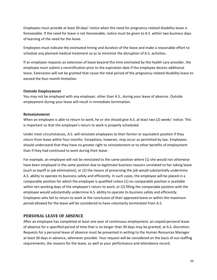Employees must provide at least 30 days' notice when the need for pregnancy-related disability leave is foreseeable. If the need for leave is not foreseeable, notice must be given to A.S. within two business days of learning of the need for the leave.

Employees must indicate the estimated timing and duration of the leave and make a reasonable effort to schedule any planned medical treatment so as to minimize the disruption of A.S. activities.

If an employee requests an extension of leave beyond the time estimated by the health care provider, the employee must submit a recertification prior to the expiration date if the employee desires additional leave. Extensions will not be granted that cause the total period of the pregnancy-related disability leave to exceed the four-month limitation.

#### <span id="page-33-0"></span>**Outside Employment**

You may not be employed with any employer, other than A.S., during your leave of absence. Outside employment during your leave will result in immediate termination.

#### <span id="page-33-1"></span>**Reinstatement**

When an employee is able to return to work, he or she should give A.S. at least two (2) weeks' notice. This is important so that the employee's return to work is properly scheduled.

Under most circumstances, A.S. will reinstate employees to their former or equivalent position if they return from leave within four months. Exceptions, however, may occur as permitted by law. Employees should understand that they have no greater right to reinstatement or to other benefits of employment than if they had continued to work during their leave.

For example, an employee will not be reinstated to the same position where (1) she would not otherwise have been employed in the same position due to legitimate business reasons unrelated to her taking leave (such as layoff or job elimination), or (2) the means of preserving the job would substantially undermine A.S. ability to operate its business safely and efficiently. In such cases, the employee will be placed in a comparable position for which the employee is qualified unless (1) no comparable position is available within ten working days of the employee's return to work, or (2) filling the comparable position with the employee would substantially undermine A.S. ability to operate its business safely and efficiently. Employees who fail to return to work at the conclusion of their approved leave or within the maximum period allowed for the leave will be considered to have voluntarily terminated from A.S.

# <span id="page-33-2"></span>**PERSONAL LEAVE OF ABSENCE**

After an employee has completed at least one year of continuous employment, an unpaid personal leave of absence for a specified period of time that is no longer than 30 days may be granted, at A.S. discretion. Requests for a personal leave of absence must be presented in writing to the Human Resources Manager at least 30 days in advance, whenever possible. Your request will be considered on the basis of our staffing requirements, the reasons for the leave, as well as your performance and attendance record.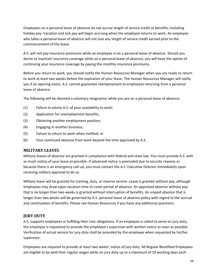Employees on a personal leave of absence do not accrue length of service credit or benefits, including holiday pay. Vacation and sick pay will begin accruing when the employee returns to work. An employee who takes a personal leave of absence will not lose any length of service credit earned prior to the commencement of the leave.

A.S. will not pay insurance premiums while an employee is on a personal leave of absence. Should you desire to maintain insurance coverage while on a personal leave of absence, you will have the option of continuing your insurance coverage by paying the monthly insurance premiums.

Before you return to work, you should notify the Human Resources Manager when you are ready to return to work at least two weeks before the expiration of your leave. The Human Resources Manager will notify you if an opening exists. A.S. cannot guarantee reemployment to employees returning from a personal leave of absence.

The following will be deemed a voluntary resignation while you are on a personal leave of absence:

- (1) Failure to advise A.S. of your availability to work;
- (2) Application for unemployment benefits;
- (3) Obtaining another employment position;
- (4) Engaging in another business;
- (5) Failure to return to work when notified; or
- (6) Your continued absence from work beyond the time approved by A.S.

#### <span id="page-34-0"></span>**MILITARY LEAVES**

Military leaves of absence are granted in compliance with federal and state law. You must provide A.S. with as much notice of your leave as possible. If advanced notice is precluded due to security reasons or because there is an emergency call-up, you must contact the A.S. Executive Director immediately upon receiving military approval to do so.

Military leave will be granted for training, duty, or reserve service. Leave is granted without pay, although employees may draw upon vacation time to cover period of absence. An approved absence without pay that is no longer than two weeks is granted without interruption of benefits. An unpaid absence that is longer than two weeks will be governed by A.S. personal leave of absence policy with regard to the accrual and continuation of benefits. Please see Human Resources if you have any additional questions.

# <span id="page-34-1"></span>**JURY DUTY**

A.S. supports employees in fulfilling their civic obligations. If an employee is called to serve on jury duty, the employee is requested to provide the employee's supervisor with written notice as soon as possible. Verification of actual service for jury duty shall be provided by the employee when requested by his/her supervisor.

Employees are required to provide at least two weeks' notice of jury duty. All Regular Benefited Employees are eligible to be paid their regular wages while on jury duty up to a maximum of 10 working days each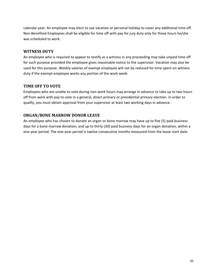calendar year. An employee may elect to use vacation or personal holiday to cover any additional time off. Non-Benefited Employees shall be eligible for time off with pay for jury duty only for those hours he/she was scheduled to work.

# <span id="page-35-0"></span>**WITNESS DUTY**

An employee who is required to appear to testify as a witness in any proceeding may take unpaid time off for such purpose provided the employee gives reasonable notice to the supervisor. Vacation may also be used for this purpose. Weekly salaries of exempt employee will not be reduced for time spent on witness duty if the exempt employee works any portion of the work week.

# <span id="page-35-1"></span>**TIME OFF TO VOTE**

Employees who are unable to vote during non-work hours may arrange in advance to take up to two hours off from work with pay to vote in a general, direct primary or presidential primary election. In order to qualify, you must obtain approval from your supervisor at least two working days in advance.

# <span id="page-35-2"></span>**ORGAN/BONE MARROW DONOR LEAVE**

An employee who has chosen to donate an organ or bone marrow may have up to five (5) paid business days for a bone marrow donation, and up to thirty (30) paid business days for an organ donation, within a one-year period. The one-year period is twelve consecutive months measured from the leave start date.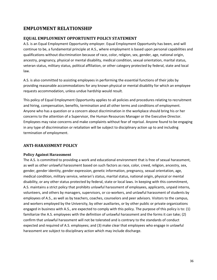# <span id="page-36-0"></span>**EMPLOYMENT RELATIONSHIP**

# <span id="page-36-1"></span>**EQUAL EMPLOYMENT OPPORTUNITY POLICY STATEMENT**

A.S. is an Equal Employment Opportunity employer. Equal Employment Opportunity has been, and will continue to be, a fundamental principle at A.S., where employment is based upon personal capabilities and qualifications without discrimination because of race, color, religion, sex, gender, age, national origin, ancestry, pregnancy, physical or mental disability, medical condition, sexual orientation, marital status, veteran status, military status, political affiliation, or other category protected by federal, state and local law.

A.S. is also committed to assisting employees in performing the essential functions of their jobs by providing reasonable accommodations for any known physical or mental disability for which an employee requests accommodation, unless undue hardship would result.

This policy of Equal Employment Opportunity applies to all policies and procedures relating to recruitment and hiring, compensation, benefits, termination and all other terms and conditions of employment. Anyone who has a question or a concern about discrimination in the workplace should bring his or her concerns to the attention of a Supervisor, the Human Resources Manager or the Executive Director. Employees may raise concerns and make complaints without fear of reprisal. Anyone found to be engaging in any type of discrimination or retaliation will be subject to disciplinary action up to and including termination of employment.

# <span id="page-36-2"></span>**ANTI-HARASSMENT POLICY**

#### <span id="page-36-3"></span>**Policy Against Harassment**

The A.S. is committed to providing a work and educational environment that is free of sexual harassment, as well as other unlawful harassment based on such factors as race, color, creed, religion, ancestry, sex, gender, gender identity, gender expression, genetic information, pregnancy, sexual orientation, age, medical condition, military service, veteran's status, marital status, national origin, physical or mental disability, or any other status protected by federal, state or local laws. In keeping with this commitment, A.S. maintains a strict policy that prohibits unlawful harassment of employees, applicants, unpaid interns, volunteers, and others by managers, supervisors, or co-workers, and unlawful harassment of students by employees of A.S., as well as by teachers, coaches, counselors and peer advisors. Visitors to the campus, and workers employed by the University, by other auxiliaries, or by other public or private organizations engaged in business with A.S., are expected to comply with this policy. The purpose of this policy is to: (1) familiarize the A.S. employees with the definition of unlawful harassment and the forms it can take; (2) confirm that unlawful harassment will not be tolerated and is contrary to the standards of conduct expected and required of A.S. employees; and (3) make clear that employees who engage in unlawful harassment are subject to disciplinary action which may include discharge.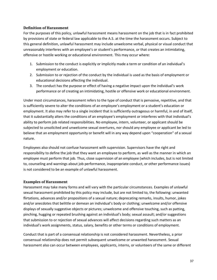#### <span id="page-37-0"></span>**Definition of Harassment**

For the purposes of this policy, unlawful harassment means harassment on the job that is in fact prohibited by provisions of state or federal law applicable to the A.S. at the time the harassment occurs. Subject to this general definition, unlawful harassment may include unwelcome verbal, physical or visual conduct that unreasonably interferes with an employee's or student's performance, or that creates an intimidating, offensive or hostile working or educational environment. This may occur where:

- 1. Submission to the conduct is explicitly or implicitly made a term or condition of an individual's employment or education.
- 2. Submission to or rejection of the conduct by the individual is used as the basis of employment or educational decisions affecting the individual.
- 3. The conduct has the purpose or effect of having a negative impact upon the individual's work performance or of creating an intimidating, hostile or offensive work or educational environment.

Under most circumstances, harassment refers to the type of conduct that is pervasive, repetitive, and that is sufficiently severe to alter the conditions of an employee's employment or a student's education or employment. It also may refer to a single incident that is sufficiently outrageous or harmful, in and of itself, that it substantially alters the conditions of an employee's employment or interferes with that individual's ability to perform job related responsibilities. No employee, intern, volunteer, or applicant should be subjected to unsolicited and unwelcome sexual overtures, nor should any employee or applicant be led to believe that an employment opportunity or benefit will in any way depend upon "cooperation" of a sexual nature.

Employees also should not confuse harassment with supervision. Supervisors have the right and responsibility to define the job that they want an employee to perform, as well as the manner in which an employee must perform that job. Thus, close supervision of an employee (which includes, but is not limited to, counseling and warnings about job performance, inappropriate conduct, or other performance issues) is not considered to be an example of unlawful harassment.

#### <span id="page-37-1"></span>**Examples of Harassment**

Harassment may take many forms and will vary with the particular circumstances. Examples of unlawful sexual harassment prohibited by this policy may include, but are not limited to, the following: unwanted flirtations, advances and/or propositions of a sexual nature; deprecating remarks, insults, humor, jokes and/or anecdotes that belittle or demean an individual's body or clothing; unwelcome and/or offensive displays of sexually suggestive objects or pictures; unwelcome and offensive touching, such as patting, pinching, hugging or repeated brushing against an individual's body; sexual assault; and/or suggestions that submission to or rejection of sexual advances will affect decisions regarding such matters as an individual's work assignments, status, salary, benefits or other terms or conditions of employment.

Conduct that is part of a consensual relationship is not considered harassment. Nevertheless, a prior consensual relationship does not permit subsequent unwelcome or unwanted harassment. Sexual harassment also can occur between employees, applicants, interns, or volunteers of the same or different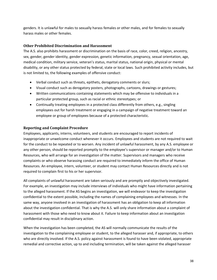genders. It is unlawful for males to sexually harass females or other males, and for females to sexually harass males or other females.

#### <span id="page-38-0"></span>**Other Prohibited Discrimination and Harassment**

The A.S. also prohibits harassment or discrimination on the basis of race, color, creed, religion, ancestry, sex, gender, gender identity, gender expression, genetic information, pregnancy, sexual orientation, age, medical condition, military service, veteran's status, marital status, national origin, physical or mental disability, or any other status protected by federal, state or local laws. Such prohibited activity includes, but is not limited to, the following examples of offensive conduct:

- Verbal conduct such as threats, epithets, derogatory comments or slurs;
- Visual conduct such as derogatory posters, photographs, cartoons, drawings or gestures;
- Written communications containing statements which may be offensive to individuals in a particular protected group, such as racial or ethnic stereotypes; or
- Continually treating employees in a protected class differently from others, e.g., singling employees out for harsh treatment or engaging in a campaign of negative treatment toward an employee or group of employees because of a protected characteristic.

#### <span id="page-38-1"></span>**Reporting and Complaint Procedure**

Employees, applicants, interns, volunteers, and students are encouraged to report incidents of inappropriate or unwelcome conduct whenever it occurs. Employees and students are not required to wait for the conduct to be repeated or to worsen. Any incident of unlawful harassment, by any A.S. employee or any other person, should be reported promptly to the employee's supervisor or manager and/or to Human Resources, who will arrange for an investigation of the matter. Supervisors and managers who receive complaints or who observe harassing conduct are required to immediately inform the office of Human Resources. An employee, intern, volunteer, or student may contact Human Resources directly and is not required to complain first to his or her supervisor.

All complaints of unlawful harassment are taken seriously and are promptly and objectively investigated. For example, an investigation may include interviews of individuals who might have information pertaining to the alleged harassment. If the AS begins an investigation, we will endeavor to keep the investigation confidential to the extent possible, including the names of complaining employees and witnesses. In the same way, anyone involved in an investigation of harassment has an obligation to keep all information about the investigation confidential. That is why the A.S. will only share information about a complaint of harassment with those who need to know about it. Failure to keep information about an investigation confidential may result in disciplinary action.

When the investigation has been completed, the AS will normally communicate the results of the investigation to the complaining employee or student, to the alleged harasser and, if appropriate, to others who are directly involved. If the A.S. policy against harassment is found to have been violated, appropriate remedial and corrective action, up to and including termination, will be taken against the alleged harasser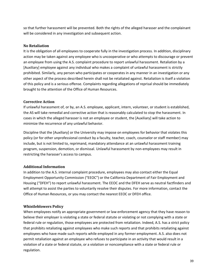so that further harassment will be prevented. Both the rights of the alleged harasser and the complainant will be considered in any investigation and subsequent action.

#### <span id="page-39-0"></span>**No Retaliation**

It is the obligation of all employees to cooperate fully in the investigation process. In addition, disciplinary action may be taken against any employee who is uncooperative or who attempts to discourage or prevent an employee from using the A.S. complaint procedure to report unlawful harassment. Retaliation by a [Auxiliary] employee against any individual who makes a complaint of unlawful harassment is strictly prohibited. Similarly, any person who participates or cooperates in any manner in an investigation or any other aspect of the process described herein shall not be retaliated against. Retaliation is itself a violation of this policy and is a serious offense. Complaints regarding allegations of reprisal should be immediately brought to the attention of the Office of Human Resources.

## <span id="page-39-1"></span>**Corrective Action**

If unlawful harassment of, or by, an A.S. employee, applicant, intern, volunteer, or student is established, the AS will take remedial and corrective action that is reasonably calculated to stop the harassment. In cases in which the alleged harasser is not an employee or student, the [Auxiliary] will take action to minimize the recurrence of any unlawful behavior.

Discipline that the [Auxiliary] or the University may impose on employees for behavior that violates this policy (or for other unprofessional conduct by a faculty, teacher, coach, counselor or staff member) may include, but is not limited to, reprimand, mandatory attendance at an unlawful harassment training program, suspension, demotion, or dismissal. Unlawful harassment by non-employees may result in restricting the harasser's access to campus.

# <span id="page-39-2"></span>**Additional Information**

In addition to the A.S. internal complaint procedure, employees may also contact either the Equal Employment Opportunity Commission ("EEOC") or the California Department of Fair Employment and Housing ("DFEH") to report unlawful harassment. The EEOC and the DFEH serve as neutral factfinders and will attempt to assist the parties to voluntarily resolve their disputes. For more information, contact the Office of Human Resources, or you may contact the nearest EEOC or DFEH office.

# <span id="page-39-3"></span>**Whistleblowers Policy**

When employees notify an appropriate government or law enforcement agency that they have reason to believe their employer is violating a state or federal statute or violating or not complying with a state or federal rule or regulation, those employees are protected from retaliation. Indeed, A.S. has a strict policy that prohibits retaliating against employees who make such reports and that prohibits retaliating against employees who have made such reports while employed in any former employment. A.S. also does not permit retaliation against an employee who refuses to participate in an activity that would result in a violation of a state or federal statute, or a violation or noncompliance with a state or federal rule or regulation.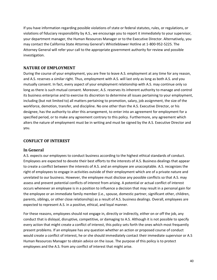If you have information regarding possible violations of state or federal statutes, rules, or regulations, or violations of fiduciary responsibility by A.S., we encourage you to report it immediately to your supervisor, your department manager, the Human Resources Manager or to the Executive Director. Alternatively, you may contact the California State Attorney General's Whistleblower Hotline at 1-800-952-5225. The Attorney General will refer your call to the appropriate government authority for review and possible investigation.

# <span id="page-40-0"></span>**NATURE OF EMPLOYMENT**

During the course of your employment, you are free to leave A.S. employment at any time for any reason, and A.S. reserves a similar right. Thus, employment with A.S. will last only as long as both A.S. and you mutually consent. In fact, every aspect of your employment relationship with A.S. may continue only so long as there is such mutual consent. Moreover, A.S. reserves its inherent authority to manage and control its business enterprise and to exercise its discretion to determine all issues pertaining to your employment, including (but not limited to) all matters pertaining to promotion, salary, job assignment, the size of the workforce, demotion, transfer, and discipline. No one other than the A.S. Executive Director, or his designee, has the authority to alter this arrangement, to enter into an agreement for employment for a specified period, or to make any agreement contrary to this policy. Furthermore, any agreement which alters the nature of employment must be in writing and must be signed by the A.S. Executive Director and you.

#### <span id="page-40-1"></span>**CONFLICT OF INTEREST**

#### <span id="page-40-2"></span>**In General**

A.S. expects our employees to conduct business according to the highest ethical standards of conduct. Employees are expected to devote their best efforts to the interests of A.S. Business dealings that appear to create a conflict between the interests of A.S. and an employee are unacceptable. A.S. recognizes the right of employees to engage in activities outside of their employment which are of a private nature and unrelated to our business. However, the employee must disclose any possible conflicts so that A.S. may assess and prevent potential conflicts of interest from arising. A potential or actual conflict of interest occurs whenever an employee is in a position to influence a decision that may result in a personal gain for the employee or an immediate family member (i.e., spouse, domestic partner, significant other, children, parents, siblings, or other close relationship) as a result of A.S. business dealings. Overall, employees are expected to represent A.S. in a positive, ethical, and loyal manner.

For these reasons, employees should not engage in, directly or indirectly, either on or off the job, any conduct that is disloyal, disruptive, competitive, or damaging to A.S. Although it is not possible to specify every action that might create a conflict of interest, this policy sets forth the ones which most frequently present problems. If an employee has any question whether an action or proposed course of conduct would create a conflict of interest, he or she should immediately contact their immediate supervisor or A.S Human Resources Manager to obtain advice on the issue. The purpose of this policy is to protect employees and the A.S. from any conflict of interest that might arise.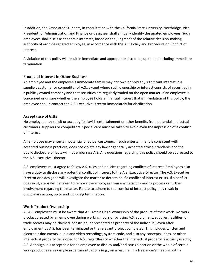In addition, the Associated Students, in consultation with the California State University, Northridge, Vice President for Administration and Finance or designee, shall annually identify designated employees. Such employees shall disclose economic interests, based on the judgment of the relative decision-making authority of each designated employee, in accordance with the A.S. Policy and Procedure on Conflict of Interest.

A violation of this policy will result in immediate and appropriate discipline, up to and including immediate termination.

#### <span id="page-41-0"></span>**Financial Interest in Other Business**

An employee and the employee's immediate family may not own or hold any significant interest in a supplier, customer or competitor of A.S., except where such ownership or interest consists of securities in a publicly owned company and that securities are regularly traded on the open market. If an employee is concerned or unsure whether the employee holds a financial interest that is in violation of this policy, the employee should contact the A.S. Executive Director immediately for clarification.

#### <span id="page-41-1"></span>**Acceptance of Gifts**

No employee may solicit or accept gifts, lavish entertainment or other benefits from potential and actual customers, suppliers or competitors. Special care must be taken to avoid even the impression of a conflict of interest.

An employee may entertain potential or actual customers if such entertainment is consistent with accepted business practices, does not violate any law or generally accepted ethical standards and the public disclosure of facts will not embarrass A.S. Any questions regarding this policy should be addressed to the A.S. Executive Director.

A.S. employees must agree to follow A.S. rules and policies regarding conflicts of interest. Employees also have a duty to disclose any potential conflict of interest to the A.S. Executive Director. The A.S. Executive Director or a designee will investigate the matter to determine if a conflict of interest exists. If a conflict does exist, steps will be taken to remove the employee from any decision-making process or further involvement regarding the matter. Failure to adhere to the conflict of interest policy may result in disciplinary action, up to and including termination.

#### <span id="page-41-2"></span>**Work Product Ownership**

All A.S. employees must be aware that A.S. retains legal ownership of the product of their work. No work product created by an employee during working hours or by using A.S. equipment, supplies, facilities, or trade secrets may be claimed, construed, or presented as property of the individual, even after employment by A.S. has been terminated or the relevant project completed. This includes written and electronic documents, audio and video recordings, system code, and also any concepts, ideas, or other intellectual property developed for A.S., regardless of whether the intellectual property is actually used by A.S. Although it is acceptable for an employee to display and/or discuss a portion or the whole of certain work product as an example in certain situations (e.g., on a resume, in a freelancer's meeting with a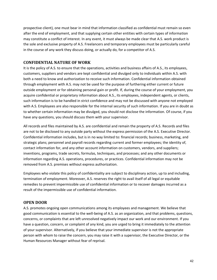prospective client), one must bear in mind that information classified as confidential must remain so even after the end of employment, and that supplying certain other entities with certain types of information may constitute a conflict of interest. In any event, it must always be made clear that A.S. work product is the sole and exclusive property of A.S. Freelancers and temporary employees must be particularly careful in the course of any work they discuss doing, or actually do, for a competitor of A.S.

# <span id="page-42-0"></span>**CONFIDENTIAL NATURE OF WORK**

It is the policy of A.S. to ensure that the operations, activities and business affairs of A.S., its employees, customers, suppliers and vendors are kept confidential and divulged only to individuals within A.S. with both a need to know and authorization to receive such information. Confidential information obtained through employment with A.S. may not be used for the purpose of furthering either current or future outside employment or for obtaining personal gain or profit. If, during the course of your employment, you acquire confidential or proprietary information about A.S., its employees, independent agents, or clients, such information is to be handled in strict confidence and may not be discussed with anyone not employed with A.S. Employees are also responsible for the internal security of such information. If you are in doubt as to whether certain information may be divulged, you should not disclose the information. Of course, if you have any questions, you should discuss them with your supervisor.

All records and files maintained by A.S. are confidential and remain the property of A.S. Records and files are not to be disclosed to any outside party without the express permission of the A.S. Executive Director. Confidential information includes, but is in no way limited to: financial records; business, marketing, and strategic plans; personnel and payroll records regarding current and former employees; the identity of, contact information for, and any other account information on customers, vendors, and suppliers; inventions, programs, trade secrets, formulas, techniques, and processes; and any other documents or information regarding A.S. operations, procedures, or practices. Confidential information may not be removed from A.S. premises without express authorization.

Employees who violate this policy of confidentiality are subject to disciplinary action, up to and including, termination of employment. Moreover, A.S. reserves the right to avail itself of all legal or equitable remedies to prevent impermissible use of confidential information or to recover damages incurred as a result of the impermissible use of confidential information.

# <span id="page-42-1"></span>**OPEN DOOR**

A.S. promotes ongoing open communications among its employees and management. We believe that good communication is essential to the well-being of A.S. as an organization, and that problems, questions, concerns, or complaints that are left unresolved negatively impact our work and our environment. If you have a question, concern, or complaint of any kind, you are urged to bring it immediately to the attention of your supervisor. Alternatively, if you believe that your immediate supervisor is not the appropriate person with whom to raise the concern, you may raise it with a supervisor, the Executive Director, or the Human Resources Manager without fear of reprisal.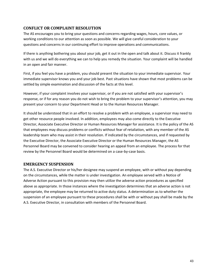# <span id="page-43-0"></span>**CONFLICT OR COMPLAINT RESOLUTION**

The AS encourages you to bring your questions and concerns regarding wages, hours, core values, or working conditions to our attention as soon as possible. We will give careful consideration to your questions and concerns in our continuing effort to improve operations and communications.

If there is anything bothering you about your job, get it out in the open and talk about it. Discuss it frankly with us and we will do everything we can to help you remedy the situation. Your complaint will be handled in an open and fair manner.

First, if you feel you have a problem, you should present the situation to your immediate supervisor. Your immediate supervisor knows you and your job best. Past situations have shown that most problems can be settled by simple examination and discussion of the facts at this level.

However, if your complaint involves your supervisor, or if you are not satisfied with your supervisor's response, or if for any reason you do not wish to bring the problem to your supervisor's attention, you may present your concern to your Department Head or to the Human Resources Manager.

It should be understood that in an effort to resolve a problem with an employee, a supervisor may need to get other resource people involved. In addition, employees may also come directly to the Executive Director, Associate Executive Director or Human Resources Manager for assistance. It is the policy of the AS that employees may discuss problems or conflicts without fear of retaliation, with any member of the AS leadership team who may assist in their resolution. If indicated by the circumstances, and if requested by the Executive Director, the Associate Executive Director or the Human Resources Manager, the AS Personnel Board may be convened to consider hearing an appeal from an employee. The process for that review by the Personnel Board would be determined on a case-by-case basis.

#### <span id="page-43-1"></span>**EMERGENCY SUSPENSION**

The A.S. Executive Director or his/her designee may suspend an employee, with or without pay depending on the circumstances, while the matter is under investigation. An employee served with a Notice of Adverse Action pursuant to this provision may then utilize the adverse action procedures as specified above as appropriate. In those instances where the investigation determines that an adverse action is not appropriate, the employee may be returned to active duty status. A determination as to whether the suspension of an employee pursuant to these procedures shall be with or without pay shall be made by the A.S. Executive Director, in consultation with members of the Personnel Board.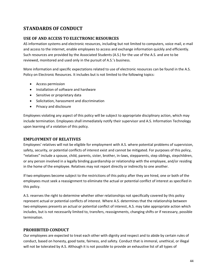# <span id="page-44-0"></span>**STANDARDS OF CONDUCT**

# <span id="page-44-1"></span>**USE OF AND ACCESS TO ELECTRONIC RESOURCES**

AS information systems and electronic resources, including but not limited to computers, voice mail, e-mail and access to the internet, enable employees to access and exchange information quickly and efficiently. Such resources are provided by the Associated Students (A.S.) for the use of the A.S. and are to be reviewed, monitored and used only in the pursuit of A.S.'s business.

More information and specific expectations related to use of electronic resources can be found in the A.S. Policy on Electronic Resources. It includes but is not limited to the following topics:

- Access permission
- Installation of software and hardware
- Sensitive or proprietary data
- Solicitation, harassment and discrimination
- Privacy and disclosure

Employees violating any aspect of this policy will be subject to appropriate disciplinary action, which may include termination. Employees shall immediately notify their supervisor and A.S. Information Technology upon learning of a violation of this policy.

# <span id="page-44-2"></span>**EMPLOYMENT OF RELATIVES**

Employees' relatives will not be eligible for employment with A.S. where potential problems of supervision, safety, security, or potential conflicts of interest exist and cannot be mitigated. For purposes of this policy, "relatives" include a spouse, child, parents, sister, brother, in-laws, stepparents, step siblings, stepchildren, or any person involved in a legally binding guardianship or relationship with the employee, and/or residing in the home of the employee. Relatives may not report directly or indirectly to one another.

If two employees become subject to the restrictions of this policy after they are hired, one or both of the employees must seek a reassignment to eliminate the actual or potential conflict of interest as specified in this policy.

A.S. reserves the right to determine whether other relationships not specifically covered by this policy represent actual or potential conflicts of interest. Where A.S. determines that the relationship between two employees presents an actual or potential conflict of interest, A.S. may take appropriate action which includes, but is not necessarily limited to, transfers, reassignments, changing shifts or if necessary, possible termination.

# <span id="page-44-3"></span>**PROHIBITED CONDUCT**

Our employees are expected to treat each other with dignity and respect and to abide by certain rules of conduct, based on honesty, good taste, fairness, and safety. Conduct that is immoral, unethical, or illegal will not be tolerated by A.S. Although it is not possible to provide an exhaustive list of all types of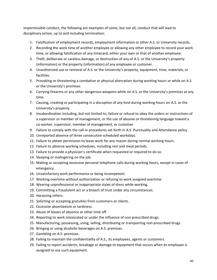impermissible conduct, the following are examples of some, but not all, conduct that will lead to disciplinary action, up to and including termination:

- 1. Falsification of employment records, employment information or other A.S. or University records.
- 2. Recording the work time of another employee or allowing any other employee to record your work time, or allowing falsification of any timecard, either your own or that of another employee.
- 3. Theft, deliberate or careless damage, or destruction of any of A.S. or the University's property (information) or the property (information) of any employee or customer.
- 4. Unauthorized use or removal of A.S. or the University's property, equipment, time, materials, or facilities.
- 5. Provoking or threatening a combative or physical altercation during working hours or while on A.S. or the University's premises.
- 6. Carrying firearms or any other dangerous weapons while on A.S. or the University's premises at any time.
- 7. Causing, creating or participating in a disruption of any kind during working hours on A.S. or the University's property.
- 8. Insubordination including, but not limited to, failure or refusal to obey the orders or instructions of a supervisor or member of management, or the use of abusive or threatening language toward a co-worker, supervisor, member of management, or customer.
- 9. Failure to comply with the call-in procedures set forth in A.S. Punctuality and Attendance policy.
- 10. Unreported absence of three consecutive scheduled workdays.
- 11. Failure to obtain permission to leave work for any reason during normal working hours.
- 12. Failure to observe working schedules, including rest and meal periods.
- 13. Failure to provide a physician's certificate when requested or required to do so.
- 14. Sleeping or malingering on the job.
- 15. Making or accepting excessive personal telephone calls during working hours, except in cases of emergency.
- 16. Unsatisfactory work performance or being incompetent.
- 17. Working overtime without authorization or refusing to work assigned overtime.
- 18. Wearing unprofessional or inappropriate styles of dress while working.
- 19. Committing a fraudulent act or a breach of trust under any circumstances.
- 20. Harassing others.
- 21. Soliciting or accepting gratuities from customers or clients.
- 22. Excessive absenteeism or tardiness.
- 23. Abuse of leaves of absence or other time off.
- 24. Reporting to work intoxicated or under the influence of non-prescribed drugs.
- 25. Manufacturing, possessing, using, selling, distributing or transporting non-prescribed drugs.
- 26. Bringing or using alcoholic beverages on A.S. premises.
- 27. Gambling on A.S. premises.
- 28. Failing to maintain the confidentiality of A.S., its employees, agents or customers.
- 29. Failing to report accidents, breakage or damage to equipment that occurs when an employee is assigned to use such equipment.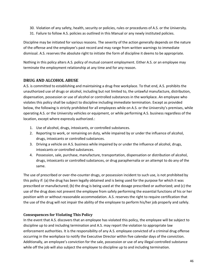- 30. Violation of any safety, health, security or policies, rules or procedures of A.S. or the University.
- 31. Failure to follow A.S. policies as outlined in this Manual or any newly instituted policies.

Discipline may be initiated for various reasons. The severity of the action generally depends on the nature of the offense and the employee's past record and may range from written warnings to immediate dismissal. A.S. reserves the absolute right to initiate the form of discipline it deems to be appropriate.

Nothing in this policy alters A.S. policy of mutual consent employment. Either A.S. or an employee may terminate the employment relationship at any time and for any reason.

# <span id="page-46-0"></span>**DRUG AND ALCOHOL ABUSE**

A.S. is committed to establishing and maintaining a drug-free workplace. To that end, A.S. prohibits the unauthorized use of drugs or alcohol, including but not limited to, the unlawful manufacture, distribution, dispensation, possession or use of alcohol or controlled substances in the workplace. An employee who violates this policy shall be subject to discipline including immediate termination. Except as provided below, the following is strictly prohibited for all employees while on A.S. or the University's premises, while operating A.S. or the University vehicles or equipment, or while performing A.S. business regardless of the location, except where expressly authorized.:

- 1. Use of alcohol, drugs, intoxicants, or controlled substances.
- 2. Reporting to work, or remaining on duty, while impaired by or under the influence of alcohol, drugs, intoxicants or controlled substances.
- 3. Driving a vehicle on A.S. business while impaired by or under the influence of alcohol, drugs, intoxicants or controlled substances.
- 4. Possession, sale, purchase, manufacture, transportation, dispensation or distribution of alcohol, drugs, intoxicants or controlled substances, or drug paraphernalia or an attempt to do any of the same.

The use of prescribed or over-the-counter drugs, or possession incident to such use, is not prohibited by this policy if: (a) the drug has been legally obtained and is being used for the purpose for which it was prescribed or manufactured; (b) the drug is being used at the dosage prescribed or authorized; and (c) the use of the drug does not prevent the employee from safely performing the essential functions of his or her position with or without reasonable accommodation. A.S. reserves the right to require certification that the use of the drug will not impair the ability of the employee to perform his/her job properly and safely.

# <span id="page-46-1"></span>**Consequences for Violating This Policy**

In the event that A.S. discovers that an employee has violated this policy, the employee will be subject to discipline up to and including termination and A.S. may report the violation to appropriate law enforcement authorities. It is the responsibility of any A.S. employee convicted of a criminal drug offense occurring in the workplace to notify the Executive Director within five calendar days of the conviction. Additionally, an employee's conviction for the sale, possession or use of any illegal controlled substance while off the job will also subject the employee to discipline up to and including termination.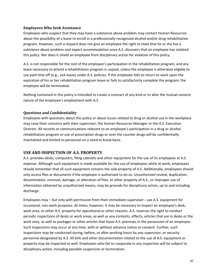#### <span id="page-47-0"></span>**Employees Who Seek Assistance**

Employees who suspect that they may have a substance abuse problem may contact Human Resources about the possibility of a leave to enroll in a professionally recognized alcohol and/or drug rehabilitation program. However, such a request does not give an employee the right to state that he or she has a substance abuse problem and expect accommodation once A.S. discovers that an employee has violated this policy. Nor does it shield an employee from disciplinary action for violation of this policy.

A.S. is not responsible for the cost of the employee's participation in the rehabilitation program, and any leave necessary to attend a rehabilitation program is unpaid, unless the employee is otherwise eligible to use paid time off (e.g., sick leave) under A.S. policies. If the employee fails to return to work upon the expiration of his or her rehabilitation program leave or fails to satisfactorily complete the program, the employee will be terminated.

Nothing contained in this policy is intended to create a contract of any kind or to alter the mutual consent nature of the employee's employment with A.S.

#### <span id="page-47-1"></span>**Questions and Confidentiality**

Employees with questions about this policy or about issues related to drug or alcohol use in the workplace may raise their concerns with their supervisor, the Human Resources Manager or the A.S. Executive Director. All records or communications relevant to an employee's participation in a drug or alcohol rehabilitation program or use of prescription drugs or over the counter drugs will be confidentially maintained and limited to personnel on a need to know basis.

#### <span id="page-47-2"></span>**USE AND INSPECTION OF A.S. PROPERTY**

A.S. provides desks, computers, filing cabinets and other equipment for the use of its employees at A.S. expense. Although such equipment is made available for the use of employees while at work, employees should remember that all such equipment remains the sole property of A.S. Additionally, employees should only access files or documents if the employee is authorized to do so. Unauthorized review, duplication, dissemination, removal, damage, or alteration of files, or other property of A.S., or improper use of information obtained by unauthorized means, may be grounds for disciplinary action, up to and including discharge.

Employees may – but only with permission from their immediate supervisor-- use A.S. equipment for occasional, non-work purposes. At times, however, it may be necessary to inspect an employee's desk, work area, or other A.S. property for operational or other reasons. A.S. reserves the right to conduct periodic inspections of desks or work areas, as well as any contents, effects, articles that are in desks or the work area, as well as packages or other articles that leave A.S. premises in the possession of an employee. Such inspections may occur at any time, with or without advance notice or consent. Further, such inspections may be conducted during, before, or after working hours by any supervisor, or security personnel designated by A.S. All bills and other documentation related to the use of A.S. equipment or property may be inspected as well. Employees who fail to cooperate in any inspection will be subject to disciplinary action, including possible suspension or termination.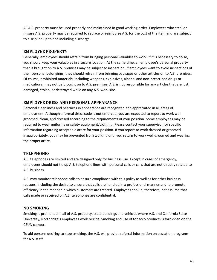All A.S. property must be used properly and maintained in good working order. Employees who steal or misuse A.S. property may be required to replace or reimburse A.S. for the cost of the item and are subject to discipline up to and including discharge.

## <span id="page-48-0"></span>**EMPLOYEE PROPERTY**

Generally, employees should refrain from bringing personal valuables to work. If it is necessary to do so, you should keep your valuables in a secure location. At the same time, an employee's personal property that is brought on to A.S. premises may be subject to inspection. If employees want to avoid inspections of their personal belongings, they should refrain from bringing packages or other articles on to A.S. premises. Of course, prohibited materials, including weapons, explosives, alcohol and non-prescribed drugs or medications, may not be brought on to A.S. premises. A.S. is not responsible for any articles that are lost, damaged, stolen, or destroyed while on any A.S. work site.

# <span id="page-48-1"></span>**EMPLOYEE DRESS AND PERSONAL APPEARANCE**

Personal cleanliness and neatness in appearance are recognized and appreciated in all areas of employment. Although a formal dress code is not enforced, you are expected to report to work well groomed, clean, and dressed according to the requirements of your position. Some employees may be required to wear uniforms or safety equipment/clothing. Please contact your supervisor for specific information regarding acceptable attire for your position. If you report to work dressed or groomed inappropriately, you may be prevented from working until you return to work well-groomed and wearing the proper attire.

#### <span id="page-48-2"></span>**TELEPHONES**

A.S. telephones are limited and are designed only for business use. Except in cases of emergency, employees should not tie up A.S. telephone lines with personal calls or calls that are not directly related to A.S. business.

A.S. may monitor telephone calls to ensure compliance with this policy as well as for other business reasons, including the desire to ensure that calls are handled in a professional manner and to promote efficiency in the manner in which customers are treated. Employees should, therefore, not assume that calls made or received on A.S. telephones are confidential.

# <span id="page-48-3"></span>**NO SMOKING**

Smoking is prohibited in all of A.S. property, state buildings and vehicles where A.S. and California State University, Northridge's employees work or ride. Smoking and use of tobacco products is forbidden on the CSUN campus.

To aid persons desiring to stop smoking, the A.S. will provide referral information on cessation programs for A.S. staff.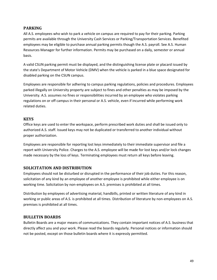# <span id="page-49-0"></span>**PARKING**

All A.S. employees who wish to park a vehicle on campus are required to pay for their parking. Parking permits are available through the University Cash Services or Parking/Transportation Services. Benefited employees may be eligible to purchase annual parking permits though the A.S. payroll. See A.S. Human Resources Manager for further information. Permits may be purchased on a daily, semester or annual basis.

A valid CSUN parking permit must be displayed, and the distinguishing license plate or placard issued by the state's Department of Motor Vehicle (DMV) when the vehicle is parked in a blue space designated for disabled parking on the CSUN campus.

Employees are responsible for adhering to campus parking regulations, policies and procedures. Employees parked illegally on University property are subject to fines and other penalties as may be imposed by the University. A.S. assumes no fines or responsibilities incurred by an employee who violates parking regulations on or off campus in their personal or A.S. vehicle, even if incurred while performing work related duties.

## <span id="page-49-1"></span>**KEYS**

Office keys are used to enter the workspace, perform prescribed work duties and shall be issued only to authorized A.S. staff. Issued keys may not be duplicated or transferred to another individual without proper authorization.

Employees are responsible for reporting lost keys immediately to their immediate supervisor and file a report with University Police. Charges to the A.S. employee will be made for lost keys and/or lock changes made necessary by the loss of keys. Terminating employees must return all keys before leaving.

# <span id="page-49-2"></span>**SOLICITATION AND DISTRIBUTION**

Employees should not be disturbed or disrupted in the performance of their job duties. For this reason, solicitation of any kind by an employee of another employee is prohibited while either employee is on working time. Solicitation by non-employees on A.S. premises is prohibited at all times.

Distribution by employees of advertising material, handbills, printed or written literature of any kind in working or public areas of A.S. is prohibited at all times. Distribution of literature by non-employees on A.S. premises is prohibited at all times.

#### <span id="page-49-3"></span>**BULLETIN BOARDS**

Bulletin Boards are a major means of communications. They contain important notices of A.S. business that directly affect you and your work. Please read the boards regularly. Personal notices or information should not be posted, except on those bulletin boards where it is expressly permitted.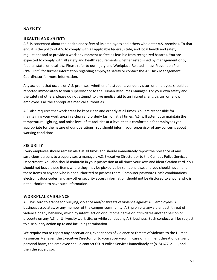# <span id="page-50-0"></span>**SAFETY**

# <span id="page-50-1"></span>**HEALTH AND SAFETY**

A.S. is concerned about the health and safety of its employees and others who enter A.S. premises. To that end, it is the policy of A.S. to comply with all applicable federal, state, and local health and safety regulations and to provide a work environment as free as feasible from recognized hazards. You are expected to comply with all safety and health requirements whether established by management or by federal, state, or local law. Please refer to our Injury and Workplace-Related Illness Prevention Plan ("IWRIPP") for further information regarding employee safety or contact the A.S. Risk Management Coordinator for more information.

Any accident that occurs on A.S. premises, whether of a student, vendor, visitor, or employee, should be reported immediately to your supervisor or to the Human Resources Manager. For your own safety and the safety of others, please do not attempt to give medical aid to an injured client, visitor, or fellow employee. Call the appropriate medical authorities.

A.S. also requires that work areas be kept clean and orderly at all times. You are responsible for maintaining your work area in a clean and orderly fashion at all times. A.S. will attempt to maintain the temperature, lighting, and noise level of its facilities at a level that is comfortable for employees yet appropriate for the nature of our operations. You should inform your supervisor of any concerns about working conditions.

#### <span id="page-50-2"></span>**SECURITY**

Every employee should remain alert at all times and should immediately report the presence of any suspicious persons to a supervisor, a manager, A.S. Executive Director, or to the Campus Police Services Department. You also should maintain in your possession at all times your keys and identification card. You should not leave these items where they may be picked up by someone else, and you should never lend these items to anyone who is not authorized to possess them. Computer passwords, safe combinations, electronic door codes, and any other security access information should not be disclosed to anyone who is not authorized to have such information.

#### <span id="page-50-3"></span>**WORKPLACE VIOLENCE**

A.S. has zero tolerance for bullying, violence and/or threats of violence against A.S. employees, A.S. business associates, or any member of the campus community. A.S. prohibits any violent act, threat of violence or any behavior, which by intent, action or outcome harms or intimidates another person or property on any A.S. or University work site, or while conducting A.S. business. Such conduct will be subject to disciplinary action up to and including termination.

We require you to report any observations, experiences of violence or threats of violence to the Human Resources Manager, the Executive Director, or to your supervisor. In case of imminent threat of danger or personal harm, the employee should contact CSUN Police Services immediately at (818) 677-2111, and then the supervisor.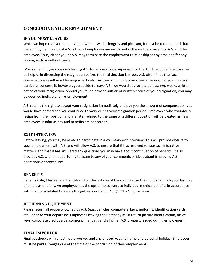# <span id="page-51-0"></span>**CONCLUDING YOUR EMPLOYMENT**

# <span id="page-51-1"></span>**IF YOU MUST LEAVE US**

While we hope that your employment with us will be lengthy and pleasant, it must be remembered that the employment policy of A.S. is that all employees are employed at the mutual consent of A.S. and the employee. Thus, either you or A.S. may terminate the employment relationship at any time and for any reason, with or without cause.

When an employee considers leaving A.S. for any reason, a supervisor or the A.S. Executive Director may be helpful in discussing the resignation before the final decision is made. A.S. often finds that such conversations result in addressing a particular problem or in finding an alternative or other solution to a particular concern. If, however, you decide to leave A.S., we would appreciate at least two weeks written notice of your resignation. Should you fail to provide sufficient written notice of your resignation, you may be deemed ineligible for re-employment.

A.S. retains the right to accept your resignation immediately and pay you the amount of compensation you would have earned had you continued to work during your resignation period. Employees who voluntarily resign from their position and are later rehired to the same or a different position will be treated as new employees insofar as pay and benefits are concerned.

## <span id="page-51-2"></span>**EXIT INTERVIEW**

Before leaving, you may be asked to participate in a voluntary exit interview. This will provide closure to your employment with A.S. and will allow A.S. to ensure that it has resolved various administrative matters, and that it has answered any questions you may have about continuation of benefits. It also provides A.S. with an opportunity to listen to any of your comments or ideas about improving A.S. operations or procedures.

# <span id="page-51-3"></span>**BENEFITS**

Benefits (Life, Medical and Dental) end on the last day of the month after the month in which your last day of employment falls. An employee has the option to convert to individual medical benefits in accordance with the Consolidated Omnibus Budget Reconciliation Act ("COBRA") provisions.

# <span id="page-51-4"></span>**RETURNING EQUIPMENT**

Please return all property owned by A.S. (e.g., vehicles, computers, keys, uniforms, identification cards, etc.) prior to your departure. Employees leaving the Company must return picture identification, office keys, corporate credit cards, company manuals, and all other A.S. property issued during employment.

#### <span id="page-51-5"></span>**FINAL PAYCHECK**

Final paychecks will reflect hours worked and any unused vacation time and personal holiday. Employees must be paid all wages due at the time of the conclusion of their employment.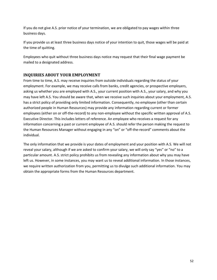If you do not give A.S. prior notice of your termination, we are obligated to pay wages within three business days.

If you provide us at least three business days notice of your intention to quit, those wages will be paid at the time of quitting.

Employees who quit without three business days notice may request that their final wage payment be mailed to a designated address.

# <span id="page-52-0"></span>**INQUIRIES ABOUT YOUR EMPLOYMENT**

From time to time, A.S. may receive inquiries from outside individuals regarding the status of your employment. For example, we may receive calls from banks, credit agencies, or prospective employers, asking us whether you are employed with A.S., your current position with A.S., your salary, and why you may have left A.S. You should be aware that, when we receive such inquiries about your employment, A.S. has a strict policy of providing only limited information. Consequently, no employee (other than certain authorized people in Human Resources) may provide any information regarding current or former employees (either on or off-the-record) to any non-employee without the specific written approval of A.S. Executive Director. This includes letters of reference. An employee who receives a request for any information concerning a past or current employee of A.S. should refer the person making the request to the Human Resources Manager without engaging in any "on" or "off-the-record" comments about the individual.

The only information that we provide is your dates of employment and your position with A.S. We will not reveal your salary, although if we are asked to confirm your salary, we will only say "yes" or "no" to a particular amount. A.S. strict policy prohibits us from revealing any information about why you may have left us. However, in some instances, you may want us to reveal additional information. In those instances, we require written authorization from you, permitting us to divulge such additional information. You may obtain the appropriate forms from the Human Resources department.